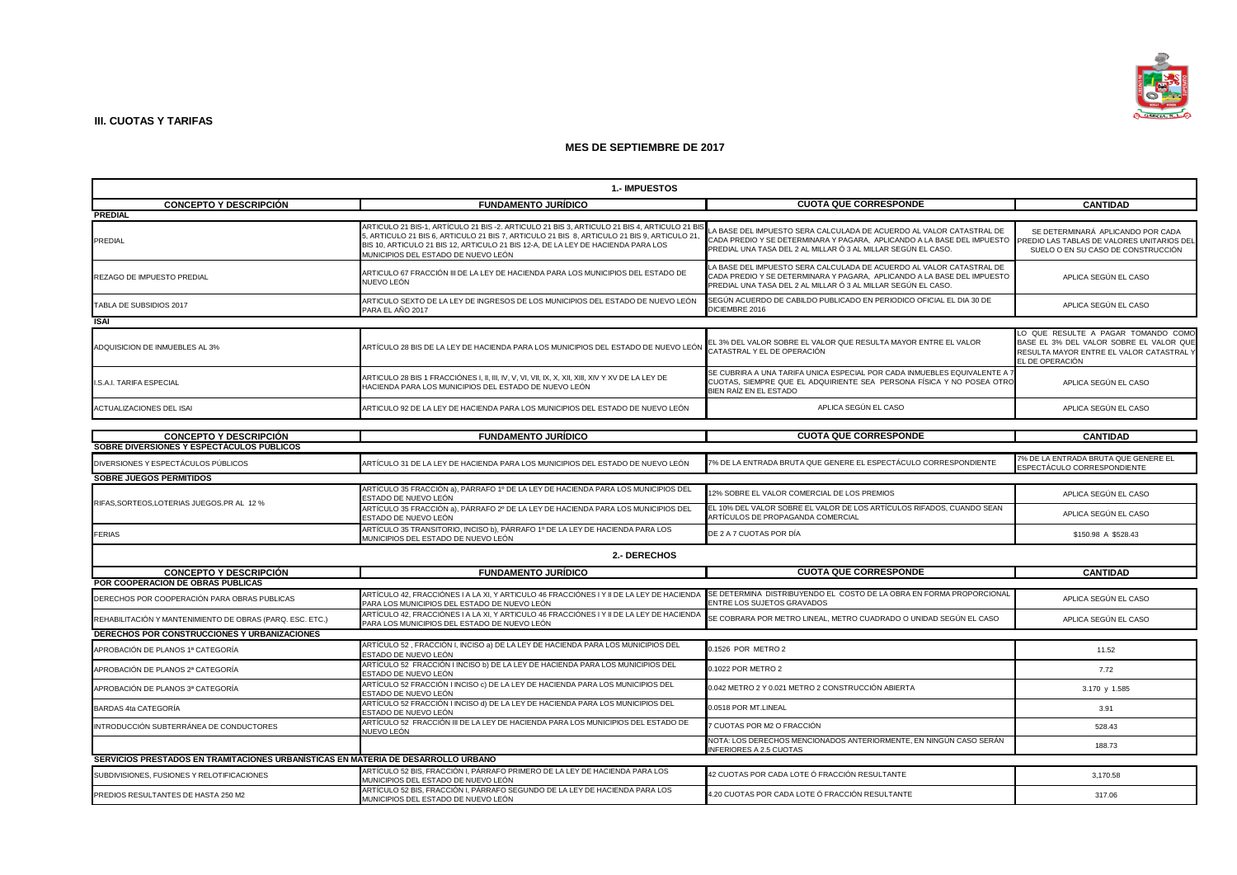

| 1.- IMPUESTOS                                                                     |                                                                                                                                                                                                                                                                                                                        |                                                                                                                                                                                                                  |                                                                                                                                             |
|-----------------------------------------------------------------------------------|------------------------------------------------------------------------------------------------------------------------------------------------------------------------------------------------------------------------------------------------------------------------------------------------------------------------|------------------------------------------------------------------------------------------------------------------------------------------------------------------------------------------------------------------|---------------------------------------------------------------------------------------------------------------------------------------------|
| <b>CONCEPTO Y DESCRIPCIÓN</b>                                                     | <b>FUNDAMENTO JURÍDICO</b>                                                                                                                                                                                                                                                                                             | <b>CUOTA QUE CORRESPONDE</b>                                                                                                                                                                                     | <b>CANTIDAD</b>                                                                                                                             |
| <b>PREDIAL</b>                                                                    |                                                                                                                                                                                                                                                                                                                        |                                                                                                                                                                                                                  |                                                                                                                                             |
| <b>PREDIAL</b>                                                                    | ARTICULO 21 BIS-1, ARTÍCULO 21 BIS -2. ARTICULO 21 BIS 3, ARTICULO 21 BIS 4, ARTICULO 21 BIS<br>5, ARTICULO 21 BIS 6, ARTICULO 21 BIS 7, ARTICULO 21 BIS 8, ARTICULO 21 BIS 9, ARTICULO 21,<br>BIS 10, ARTICULO 21 BIS 12, ARTICULO 21 BIS 12-A, DE LA LEY DE HACIENDA PARA LOS<br>MUNICIPIOS DEL ESTADO DE NUEVO LEÓN | LA BASE DEL IMPUESTO SERA CALCULADA DE ACUERDO AL VALOR CATASTRAL DE<br>CADA PREDIO Y SE DETERMINARA Y PAGARA, APLICANDO A LA BASE DEL IMPUESTO<br>PREDIAL UNA TASA DEL 2 AL MILLAR Ó 3 AL MILLAR SEGÚN EL CASO. | SE DETERMINARÁ APLICANDO POR CADA<br>PREDIO LAS TABLAS DE VALORES UNITARIOS DEL<br>SUELO O EN SU CASO DE CONSTRUCCIÓN                       |
| REZAGO DE IMPUESTO PREDIAL                                                        | ARTICULO 67 FRACCIÓN III DE LA LEY DE HACIENDA PARA LOS MUNICIPIOS DEL ESTADO DE<br>NUEVO LEÓN                                                                                                                                                                                                                         | LA BASE DEL IMPUESTO SERA CALCULADA DE ACUERDO AL VALOR CATASTRAL DE<br>CADA PREDIO Y SE DETERMINARA Y PAGARA, APLICANDO A LA BASE DEL IMPUESTO<br>PREDIAL UNA TASA DEL 2 AL MILLAR Ó 3 AL MILLAR SEGÚN EL CASO. | APLICA SEGÚN EL CASO                                                                                                                        |
| TABLA DE SUBSIDIOS 2017                                                           | ARTICULO SEXTO DE LA LEY DE INGRESOS DE LOS MUNICIPIOS DEL ESTADO DE NUEVO LEÓN<br>PARA EL AÑO 2017                                                                                                                                                                                                                    | SEGÚN ACUERDO DE CABILDO PUBLICADO EN PERIODICO OFICIAL EL DIA 30 DE<br>DICIEMBRE 2016                                                                                                                           | APLICA SEGÚN EL CASO                                                                                                                        |
| ISAI                                                                              |                                                                                                                                                                                                                                                                                                                        |                                                                                                                                                                                                                  |                                                                                                                                             |
| ADQUISICION DE INMUEBLES AL 3%                                                    | ARTÍCULO 28 BIS DE LA LEY DE HACIENDA PARA LOS MUNICIPIOS DEL ESTADO DE NUEVO LEÓN                                                                                                                                                                                                                                     | EL 3% DEL VALOR SOBRE EL VALOR QUE RESULTA MAYOR ENTRE EL VALOR<br>CATASTRAL Y EL DE OPERACIÓN                                                                                                                   | LO QUE RESULTE A PAGAR TOMANDO COMO<br>BASE EL 3% DEL VALOR SOBRE EL VALOR QUE<br>RESULTA MAYOR ENTRE EL VALOR CATASTRAL<br>EL DE OPERACIÓN |
| I.S.A.I. TARIFA ESPECIAL                                                          | HACIENDA PARA LOS MUNICIPIOS DEL ESTADO DE NUEVO LEÓN                                                                                                                                                                                                                                                                  | SE CUBRIRA A UNA TARIFA UNICA ESPECIAL POR CADA INMUEBLES EQUIVALENTE A<br>CUOTAS, SIEMPRE QUE EL ADQUIRIENTE SEA PERSONA FÍSICA Y NO POSEA OTRO<br>BIEN RAÍZ EN EL ESTADO                                       | APLICA SEGÚN EL CASO                                                                                                                        |
| ACTUALIZACIONES DEL ISAI                                                          | ARTICULO 92 DE LA LEY DE HACIENDA PARA LOS MUNICIPIOS DEL ESTADO DE NUEVO LEÓN                                                                                                                                                                                                                                         | APLICA SEGÚN EL CASO                                                                                                                                                                                             | APLICA SEGÚN EL CASO                                                                                                                        |
|                                                                                   |                                                                                                                                                                                                                                                                                                                        |                                                                                                                                                                                                                  |                                                                                                                                             |
| <b>CONCEPTO Y DESCRIPCIÓN</b>                                                     | <b>FUNDAMENTO JURÍDICO</b>                                                                                                                                                                                                                                                                                             | <b>CUOTA QUE CORRESPONDE</b>                                                                                                                                                                                     | <b>CANTIDAD</b>                                                                                                                             |
| SOBRE DIVERSIONES Y ESPECTACULOS PÚBLICOS                                         |                                                                                                                                                                                                                                                                                                                        |                                                                                                                                                                                                                  | 7% DE LA ENTRADA BRUTA QUE GENERE EL                                                                                                        |
| DIVERSIONES Y ESPECTÁCULOS PÚBLICOS                                               | ARTÍCULO 31 DE LA LEY DE HACIENDA PARA LOS MUNICIPIOS DEL ESTADO DE NUEVO LEÓN                                                                                                                                                                                                                                         | 7% DE LA ENTRADA BRUTA QUE GENERE EL ESPECTÁCULO CORRESPONDIENTE                                                                                                                                                 | ESPECTÁCULO CORRESPONDIENTE                                                                                                                 |
| <b>SOBRE JUEGOS PERMITIDOS</b>                                                    |                                                                                                                                                                                                                                                                                                                        |                                                                                                                                                                                                                  |                                                                                                                                             |
|                                                                                   | ARTÍCULO 35 FRACCIÓN a), PÁRRAFO 1º DE LA LEY DE HACIENDA PARA LOS MUNICIPIOS DEL<br>ESTADO DE NUEVO LEÓN                                                                                                                                                                                                              | 12% SOBRE EL VALOR COMERCIAL DE LOS PREMIOS                                                                                                                                                                      | APLICA SEGÚN EL CASO                                                                                                                        |
| RIFAS, SORTEOS, LOTERIAS JUEGOS.PR AL 12 %                                        | ARTÍCULO 35 FRACCIÓN a), PÁRRAFO 2º DE LA LEY DE HACIENDA PARA LOS MUNICIPIOS DEL<br>ESTADO DE NUEVO LEÓN                                                                                                                                                                                                              | EL 10% DEL VALOR SOBRE EL VALOR DE LOS ARTÍCULOS RIFADOS, CUANDO SEAN<br>ARTÍCULOS DE PROPAGANDA COMERCIAL                                                                                                       | APLICA SEGÚN EL CASO                                                                                                                        |
| <b>FERIAS</b>                                                                     | ARTÍCULO 35 TRANSITORIO, INCISO b), PÁRRAFO 1º DE LA LEY DE HACIENDA PARA LOS<br>MUNICIPIOS DEL ESTADO DE NUEVO LEÓN                                                                                                                                                                                                   | DE 2 A 7 CUOTAS POR DÍA                                                                                                                                                                                          | \$150.98 A \$528.43                                                                                                                         |
|                                                                                   | 2.- DERECHOS                                                                                                                                                                                                                                                                                                           |                                                                                                                                                                                                                  |                                                                                                                                             |
| <b>CONCEPTO Y DESCRIPCIÓN</b>                                                     | <b>FUNDAMENTO JURÍDICO</b>                                                                                                                                                                                                                                                                                             | <b>CUOTA QUE CORRESPONDE</b>                                                                                                                                                                                     | <b>CANTIDAD</b>                                                                                                                             |
| POR COOPERACION DE OBRAS PUBLICAS                                                 |                                                                                                                                                                                                                                                                                                                        |                                                                                                                                                                                                                  |                                                                                                                                             |
| DERECHOS POR COOPERACIÓN PARA OBRAS PUBLICAS                                      | ARTÍCULO 42, FRACCIÓNES I A LA XI, Y ARTICULO 46 FRACCIÓNES I Y II DE LA LEY DE HACIENDA<br>PARA LOS MUNICIPIOS DEL ESTADO DE NUEVO LEÓN                                                                                                                                                                               | SE DETERMINA DISTRIBUYENDO EL COSTO DE LA OBRA EN FORMA PROPORCIONAL<br>ENTRE LOS SUJETOS GRAVADOS                                                                                                               | APLICA SEGÚN EL CASO                                                                                                                        |
| REHABILITACIÓN Y MANTENIMIENTO DE OBRAS (PARQ. ESC. ETC.)                         | ARTÍCULO 42, FRACCIÓNES I A LA XI, Y ARTICULO 46 FRACCIÓNES I Y II DE LA LEY DE HACIENDA<br>PARA LOS MUNICIPIOS DEL ESTADO DE NUEVO LEÓN                                                                                                                                                                               | SE COBRARA POR METRO LINEAL, METRO CUADRADO O UNIDAD SEGÚN EL CASO                                                                                                                                               | APLICA SEGÚN EL CASO                                                                                                                        |
| DERECHOS POR CONSTRUCCIONES Y URBANIZACIONES                                      |                                                                                                                                                                                                                                                                                                                        |                                                                                                                                                                                                                  |                                                                                                                                             |
| APROBACIÓN DE PLANOS 1ª CATEGORÍA                                                 | ARTÍCULO 52, FRACCIÓN I, INCISO a) DE LA LEY DE HACIENDA PARA LOS MUNICIPIOS DEL<br>ESTADO DE NUEVO LEÓN                                                                                                                                                                                                               | 0.1526 POR METRO 2                                                                                                                                                                                               | 11.52                                                                                                                                       |
| APROBACIÓN DE PLANOS 2ª CATEGORÍA                                                 | ARTÍCULO 52 FRACCIÓN I INCISO b) DE LA LEY DE HACIENDA PARA LOS MUNICIPIOS DEL<br>ESTADO DE NUEVO LEÓN                                                                                                                                                                                                                 | 0.1022 POR METRO 2                                                                                                                                                                                               | 7.72                                                                                                                                        |
| APROBACIÓN DE PLANOS 3ª CATEGORÍA                                                 | ARTÍCULO 52 FRACCIÓN I INCISO c) DE LA LEY DE HACIENDA PARA LOS MUNICIPIOS DEL<br>ESTADO DE NUEVO LEÓN                                                                                                                                                                                                                 | 0.042 METRO 2 Y 0.021 METRO 2 CONSTRUCCIÓN ABIERTA                                                                                                                                                               | 3.170 y 1.585                                                                                                                               |
| <b>BARDAS 4ta CATEGORÍA</b>                                                       | ARTÍCULO 52 FRACCIÓN I INCISO d) DE LA LEY DE HACIENDA PARA LOS MUNICIPIOS DEL<br>ESTADO DE NUEVO LEÓN                                                                                                                                                                                                                 | 0.0518 POR MT.LINEAL                                                                                                                                                                                             | 3.91                                                                                                                                        |
| INTRODUCCIÓN SUBTERRÁNEA DE CONDUCTORES                                           | ARTÍCULO 52 FRACCIÓN III DE LA LEY DE HACIENDA PARA LOS MUNICIPIOS DEL ESTADO DE<br>NUEVO LEÓN                                                                                                                                                                                                                         | 7 CUOTAS POR M2 O FRACCIÓN                                                                                                                                                                                       | 528.43                                                                                                                                      |
|                                                                                   |                                                                                                                                                                                                                                                                                                                        | NOTA: LOS DERECHOS MENCIONADOS ANTERIORMENTE, EN NINGÚN CASO SERÁN<br><b>INFERIORES A 2.5 CUOTAS</b>                                                                                                             | 188.73                                                                                                                                      |
| SERVICIOS PRESTADOS EN TRAMITACIONES URBANISTICAS EN MATERIA DE DESARROLLO URBANO |                                                                                                                                                                                                                                                                                                                        |                                                                                                                                                                                                                  |                                                                                                                                             |
| SUBDIVISIONES, FUSIONES Y RELOTIFICACIONES                                        | ARTÍCULO 52 BIS, FRACCIÓN I, PÁRRAFO PRIMERO DE LA LEY DE HACIENDA PARA LOS<br><i>I</i> UNICIPIOS DEL ESTADO DE NUEVO LEÓN                                                                                                                                                                                             | 42 CUOTAS POR CADA LOTE Ó FRACCIÓN RESULTANTE                                                                                                                                                                    | 3,170.58                                                                                                                                    |
| PREDIOS RESULTANTES DE HASTA 250 M2                                               | ARTÍCULO 52 BIS, FRACCIÓN I, PÁRRAFO SEGUNDO DE LA LEY DE HACIENDA PARA LOS<br>MUNICIPIOS DEL ESTADO DE NUEVO LEÓN                                                                                                                                                                                                     | 4.20 CUOTAS POR CADA LOTE Ó FRACCIÓN RESULTANTE                                                                                                                                                                  | 317.06                                                                                                                                      |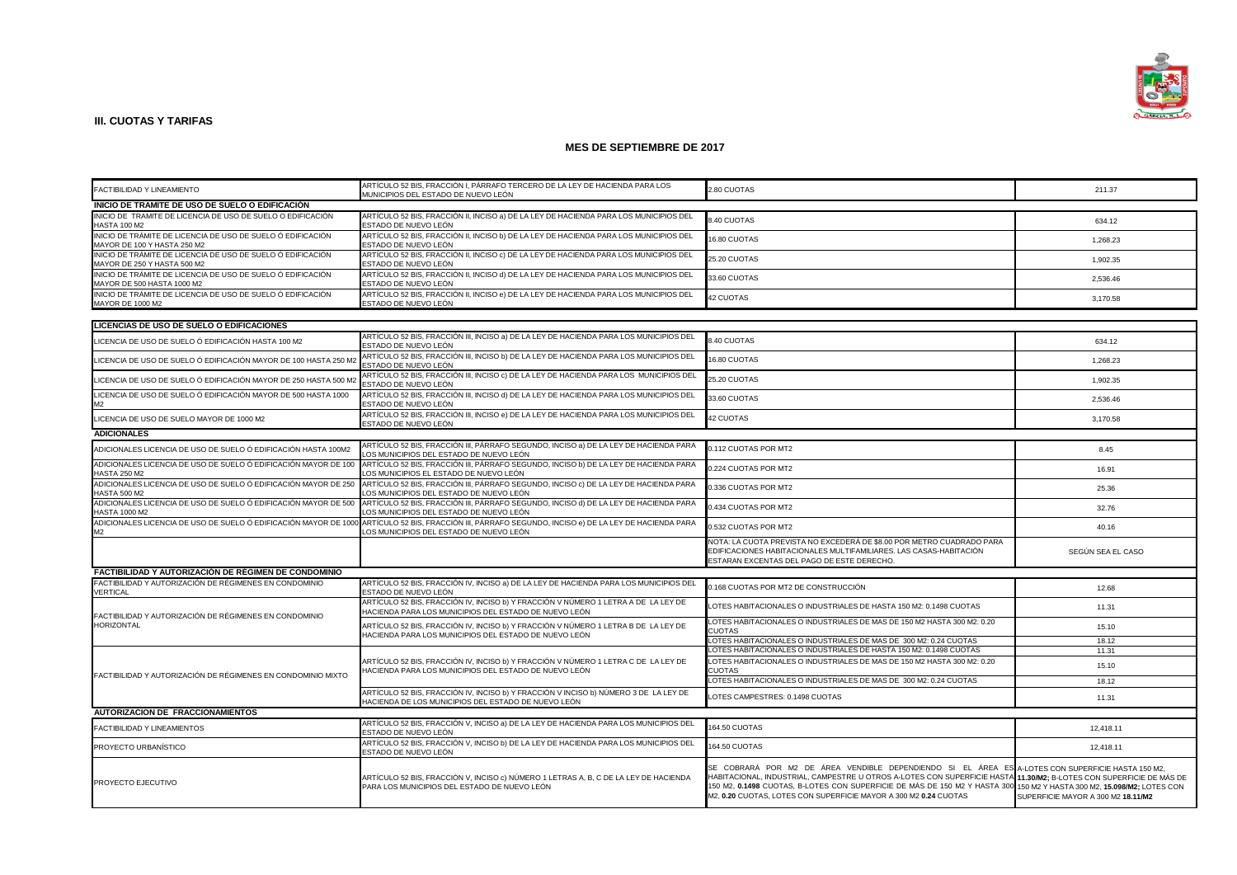

| ARTÍCULO 52 BIS. FRACCIÓN I. PÁRRAFO TERCERO DE LA LEY DE HACIENDA PARA LOS                |                                                                                                                                              |                                                                                                                                                                                                                                                                                                                                                                                                                      |                                                            |  |
|--------------------------------------------------------------------------------------------|----------------------------------------------------------------------------------------------------------------------------------------------|----------------------------------------------------------------------------------------------------------------------------------------------------------------------------------------------------------------------------------------------------------------------------------------------------------------------------------------------------------------------------------------------------------------------|------------------------------------------------------------|--|
| FACTIBILIDAD Y LINEAMIENTO                                                                 | MUNICIPIOS DEL ESTADO DE NUEVO LEÓN                                                                                                          | 2.80 CUOTAS                                                                                                                                                                                                                                                                                                                                                                                                          | 211.37                                                     |  |
| INICIO DE TRAMITE DE USO DE SUELO O EDIFICACIÓN                                            |                                                                                                                                              |                                                                                                                                                                                                                                                                                                                                                                                                                      |                                                            |  |
| INICIO DE TRAMITE DE LICENCIA DE USO DE SUELO O EDIFICACIÓN<br><b>HASTA 100 M2</b>         | ARTÍCULO 52 BIS, FRACCIÓN II, INCISO a) DE LA LEY DE HACIENDA PARA LOS MUNICIPIOS DEL<br>ESTADO DE NUEVO LEÓN                                | <b>3.40 CUOTAS</b>                                                                                                                                                                                                                                                                                                                                                                                                   | 634.12                                                     |  |
| INICIO DE TRÁMITE DE LICENCIA DE USO DE SUELO Ó EDIFICACIÓN<br>MAYOR DE 100 Y HASTA 250 M2 | ARTÍCULO 52 BIS, FRACCIÓN II, INCISO b) DE LA LEY DE HACIENDA PARA LOS MUNICIPIOS DEL<br>ESTADO DE NUEVO LEÓN                                | 16.80 CUOTAS                                                                                                                                                                                                                                                                                                                                                                                                         | 1,268.23                                                   |  |
| INICIO DE TRÁMITE DE LICENCIA DE USO DE SUELO Ó EDIFICACIÓN<br>MAYOR DE 250 Y HASTA 500 M2 | ARTÍCULO 52 BIS, FRACCIÓN II, INCISO c) DE LA LEY DE HACIENDA PARA LOS MUNICIPIOS DEL<br>ESTADO DE NUEVO LEÓN                                | 25.20 CUOTAS                                                                                                                                                                                                                                                                                                                                                                                                         | 1,902.35                                                   |  |
| INICIO DE TRÁMITE DE LICENCIA DE USO DE SUELO Ó EDIFICACIÓN<br>MAYOR DE 500 HASTA 1000 M2  | ARTÍCULO 52 BIS, FRACCIÓN II, INCISO d) DE LA LEY DE HACIENDA PARA LOS MUNICIPIOS DEL<br>ESTADO DE NUEVO LEÓN                                | 33.60 CUOTAS                                                                                                                                                                                                                                                                                                                                                                                                         | 2,536.46                                                   |  |
| INICIO DE TRÁMITE DE LICENCIA DE USO DE SUELO Ó EDIFICACIÓN<br>MAYOR DE 1000 M2            | ARTÍCULO 52 BIS, FRACCIÓN II, INCISO e) DE LA LEY DE HACIENDA PARA LOS MUNICIPIOS DEL<br>ESTADO DE NUEVO LEÓN                                | <b>42 CUOTAS</b>                                                                                                                                                                                                                                                                                                                                                                                                     | 3,170.58                                                   |  |
|                                                                                            |                                                                                                                                              |                                                                                                                                                                                                                                                                                                                                                                                                                      |                                                            |  |
| LICENCIAS DE USO DE SUELO O EDIFICACIONES                                                  | ARTÍCULO 52 BIS. FRACCIÓN III. INCISO a) DE LA LEY DE HACIENDA PARA LOS MUNICIPIOS DEL                                                       |                                                                                                                                                                                                                                                                                                                                                                                                                      |                                                            |  |
| LICENCIA DE USO DE SUELO Ó EDIFICACIÓN HASTA 100 M2                                        | ESTADO DE NUEVO LEÓN                                                                                                                         | 3.40 CUOTAS                                                                                                                                                                                                                                                                                                                                                                                                          | 634.12                                                     |  |
| LICENCIA DE USO DE SUELO Ó EDIFICACIÓN MAYOR DE 100 HASTA 250 M2                           | ARTÍCULO 52 BIS, FRACCIÓN III, INCISO b) DE LA LEY DE HACIENDA PARA LOS MUNICIPIOS DEL<br>ESTADO DE NUEVO LEÓN                               | 6.80 CUOTAS                                                                                                                                                                                                                                                                                                                                                                                                          | 1,268.23                                                   |  |
| LICENCIA DE USO DE SUELO Ó EDIFICACIÓN MAYOR DE 250 HASTA 500 M:                           | ARTÍCULO 52 BIS, FRACCIÓN III, INCISO c) DE LA LEY DE HACIENDA PARA LOS MUNICIPIOS DEL<br>ESTADO DE NUEVO LEÓN                               | 25.20 CUOTAS                                                                                                                                                                                                                                                                                                                                                                                                         | 1,902.35                                                   |  |
| LICENCIA DE USO DE SUELO Ó EDIFICACIÓN MAYOR DE 500 HASTA 1000<br>M2                       | ARTÍCULO 52 BIS, FRACCIÓN III, INCISO d) DE LA LEY DE HACIENDA PARA LOS MUNICIPIOS DEL<br>ESTADO DE NUEVO LEÓN                               | 33.60 CUOTAS                                                                                                                                                                                                                                                                                                                                                                                                         | 2,536.46                                                   |  |
| LICENCIA DE USO DE SUELO MAYOR DE 1000 M2                                                  | ARTÍCULO 52 BIS, FRACCIÓN III, INCISO e) DE LA LEY DE HACIENDA PARA LOS MUNICIPIOS DEL<br>ESTADO DE NUEVO LEÓN                               | <b>42 CUOTAS</b>                                                                                                                                                                                                                                                                                                                                                                                                     | 3,170.58                                                   |  |
| <b>ADICIONALES</b>                                                                         |                                                                                                                                              |                                                                                                                                                                                                                                                                                                                                                                                                                      |                                                            |  |
| ADICIONALES LICENCIA DE USO DE SUELO Ó EDIFICACIÓN HASTA 100M2                             | ARTÍCULO 52 BIS, FRACCIÓN III, PÁRRAFO SEGUNDO, INCISO a) DE LA LEY DE HACIENDA PARA<br>OS MUNICIPIOS DEL ESTADO DE NUEVO LEÓN               | 0.112 CUOTAS POR MT2                                                                                                                                                                                                                                                                                                                                                                                                 | 8.45                                                       |  |
| ADICIONALES LICENCIA DE USO DE SUELO Ó EDIFICACIÓN MAYOR DE 100<br><b>HASTA 250 M2</b>     | ARTÍCULO 52 BIS, FRACCIÓN III, PÁRRAFO SEGUNDO, INCISO b) DE LA LEY DE HACIENDA PARA<br>LOS MUNICIPIOS EL ESTADO DE NUEVO LEÓN               | 0.224 CUOTAS POR MT2                                                                                                                                                                                                                                                                                                                                                                                                 | 16.91                                                      |  |
| ADICIONALES LICENCIA DE USO DE SUELO Ó EDIFICACIÓN MAYOR DE 250<br><b>HASTA 500 M2</b>     | ARTÍCULO 52 BIS, FRACCIÓN III, PÁRRAFO SEGUNDO, INCISO c) DE LA LEY DE HACIENDA PARA<br>OS MUNICIPIOS DEL ESTADO DE NUEVO LEÓN               | 0.336 CUOTAS POR MT2                                                                                                                                                                                                                                                                                                                                                                                                 | 25.36                                                      |  |
| ADICIONALES LICENCIA DE USO DE SUELO Ó EDIFICACIÓN MAYOR DE 500<br><b>HASTA 1000 M2</b>    | ARTÍCULO 52 BIS, FRACCIÓN III, PÁRRAFO SEGUNDO, INCISO d) DE LA LEY DE HACIENDA PARA<br>OS MUNICIPIOS DEL ESTADO DE NUEVO LEÓN               | 0.434 CUOTAS POR MT2                                                                                                                                                                                                                                                                                                                                                                                                 | 32.76                                                      |  |
| ADICIONALES LICENCIA DE USO DE SUELO Ó EDIFICACIÓN MAYOR DE 1000<br>M <sub>2</sub>         | ARTÍCULO 52 BIS, FRACCIÓN III, PÁRRAFO SEGUNDO, INCISO e) DE LA LEY DE HACIENDA PARA<br>OS MUNICIPIOS DEL ESTADO DE NUEVO LEÓN               | 0.532 CUOTAS POR MT2                                                                                                                                                                                                                                                                                                                                                                                                 | 40.16                                                      |  |
|                                                                                            |                                                                                                                                              | NOTA: LA CUOTA PREVISTA NO EXCEDERÁ DE \$8.00 POR METRO CUADRADO PARA<br>EDIFICACIONES HABITACIONALES MULTIFAMILIARES. LAS CASAS-HABITACIÓN<br>ESTARAN EXCENTAS DEL PAGO DE ESTE DERECHO                                                                                                                                                                                                                             | SEGÚN SEA EL CASO                                          |  |
| <b>FACTIBILIDAD Y AUTORIZACIÓN DE RÉGIMEN DE CONDOMINIO</b>                                |                                                                                                                                              |                                                                                                                                                                                                                                                                                                                                                                                                                      |                                                            |  |
| FACTIBILIDAD Y AUTORIZACIÓN DE RÉGIMENES EN CONDOMINIO<br>VERTICAL                         | ARTÍCULO 52 BIS, FRACCIÓN IV, INCISO a) DE LA LEY DE HACIENDA PARA LOS MUNICIPIOS DEL<br>ESTADO DE NUEVO LEÓN                                | 0.168 CUOTAS POR MT2 DE CONSTRUCCIÓN                                                                                                                                                                                                                                                                                                                                                                                 | 12.68                                                      |  |
| FACTIBILIDAD Y AUTORIZACIÓN DE RÉGIMENES EN CONDOMINIO                                     | ARTÍCULO 52 BIS, FRACCIÓN IV, INCISO b) Y FRACCIÓN V NÚMERO 1 LETRA A DE LA LEY DE<br>HACIENDA PARA LOS MUNICIPIOS DEL ESTADO DE NUEVO LEÓN  | LOTES HABITACIONALES O INDUSTRIALES DE HASTA 150 M2: 0.1498 CUOTAS                                                                                                                                                                                                                                                                                                                                                   | 11.31                                                      |  |
| HORIZONTAL                                                                                 | ARTÍCULO 52 BIS. FRACCIÓN IV. INCISO b) Y FRACCIÓN V NÚMERO 1 LETRA B DE  LA LEY DE<br>HACIENDA PARA LOS MUNICIPIOS DEL ESTADO DE NUEVO LEÓN | LOTES HABITACIONALES O INDUSTRIALES DE MAS DE 150 M2 HASTA 300 M2: 0.20<br><b>CUOTAS</b>                                                                                                                                                                                                                                                                                                                             | 15.10                                                      |  |
|                                                                                            |                                                                                                                                              | LOTES HABITACIONALES O INDUSTRIALES DE MAS DE 300 M2: 0.24 CUOTAS                                                                                                                                                                                                                                                                                                                                                    | 18.12                                                      |  |
|                                                                                            | ARTÍCULO 52 BIS, FRACCIÓN IV, INCISO b) Y FRACCIÓN V NÚMERO 1 LETRA C DE LA LEY DE                                                           | LOTES HABITACIONALES O INDUSTRIALES DE HASTA 150 M2: 0.1498 CUOTAS<br>LOTES HABITACIONALES O INDUSTRIALES DE MAS DE 150 M2 HASTA 300 M2: 0.20                                                                                                                                                                                                                                                                        |                                                            |  |
| FACTIBILIDAD Y AUTORIZACIÓN DE RÉGIMENES EN CONDOMINIO MIXTO                               | HACIENDA PARA LOS MUNICIPIOS DEL ESTADO DE NUEVO LEÓN                                                                                        | <b>CUOTAS</b><br>LOTES HABITACIONALES O INDUSTRIALES DE MAS DE 300 M2: 0.24 CUOTAS                                                                                                                                                                                                                                                                                                                                   | 11.31<br>15.10<br>18.12<br>11.31<br>12,418.11<br>12,418.11 |  |
|                                                                                            | ARTÍCULO 52 BIS, FRACCIÓN IV, INCISO b) Y FRACCIÓN V INCISO b) NÚMERO 3 DE LA LEY DE                                                         | LOTES CAMPESTRES: 0.1498 CUOTAS                                                                                                                                                                                                                                                                                                                                                                                      |                                                            |  |
|                                                                                            | ACIENDA DE LOS MUNICIPIOS DEL ESTADO DE NUEVO LEÓN                                                                                           |                                                                                                                                                                                                                                                                                                                                                                                                                      |                                                            |  |
| AUTORIZACION DE FRACCIONAMIENTOS                                                           | ARTÍCULO 52 BIS, FRACCIÓN V, INCISO a) DE LA LEY DE HACIENDA PARA LOS MUNICIPIOS DEL                                                         |                                                                                                                                                                                                                                                                                                                                                                                                                      |                                                            |  |
| FACTIBILIDAD Y LINEAMIENTOS                                                                | ESTADO DE NUEVO LEÓN<br>ARTÍCULO 52 BIS, FRACCIÓN V, INCISO b) DE LA LEY DE HACIENDA PARA LOS MUNICIPIOS DEL                                 | 164.50 CUOTAS                                                                                                                                                                                                                                                                                                                                                                                                        |                                                            |  |
| PROYECTO URBANÍSTICO                                                                       | ESTADO DE NUEVO LEÓN                                                                                                                         | 64.50 CUOTAS                                                                                                                                                                                                                                                                                                                                                                                                         |                                                            |  |
| PROYECTO EJECUTIVO                                                                         | ARTÍCULO 52 BIS, FRACCIÓN V, INCISO c) NÚMERO 1 LETRAS A, B, C DE LA LEY DE HACIENDA<br>PARA LOS MUNICIPIOS DEL ESTADO DE NUEVO LEÓN         | SE COBRARÁ POR M2 DE ÁREA VENDIBLE DEPENDIENDO SI EL ÁREA ES A-LOTESCON SUPERFICIEHASTA 150 M2.<br>HABITACIONAL, INDUSTRIAL, CAMPESTRE U OTROS A-LOTES CON SUPERFICIE HASTA 11.30/M2; B-LOTES CON SUPERFICIE DE MÁS DE<br>150 M2, 0.1498 CUOTAS, B-LOTES CON SUPERFICIE DE MÁS DE 150 M2 Y HASTA 300 150 M2 Y HASTA 300 M2, 15.098/M2; LOTES CON<br>M2, 0.20 CUOTAS, LOTES CON SUPERFICIE MAYOR A 300 M2 0.24 CUOTAS | SUPERFICIE MAYOR A 300 M2 18.11/M2                         |  |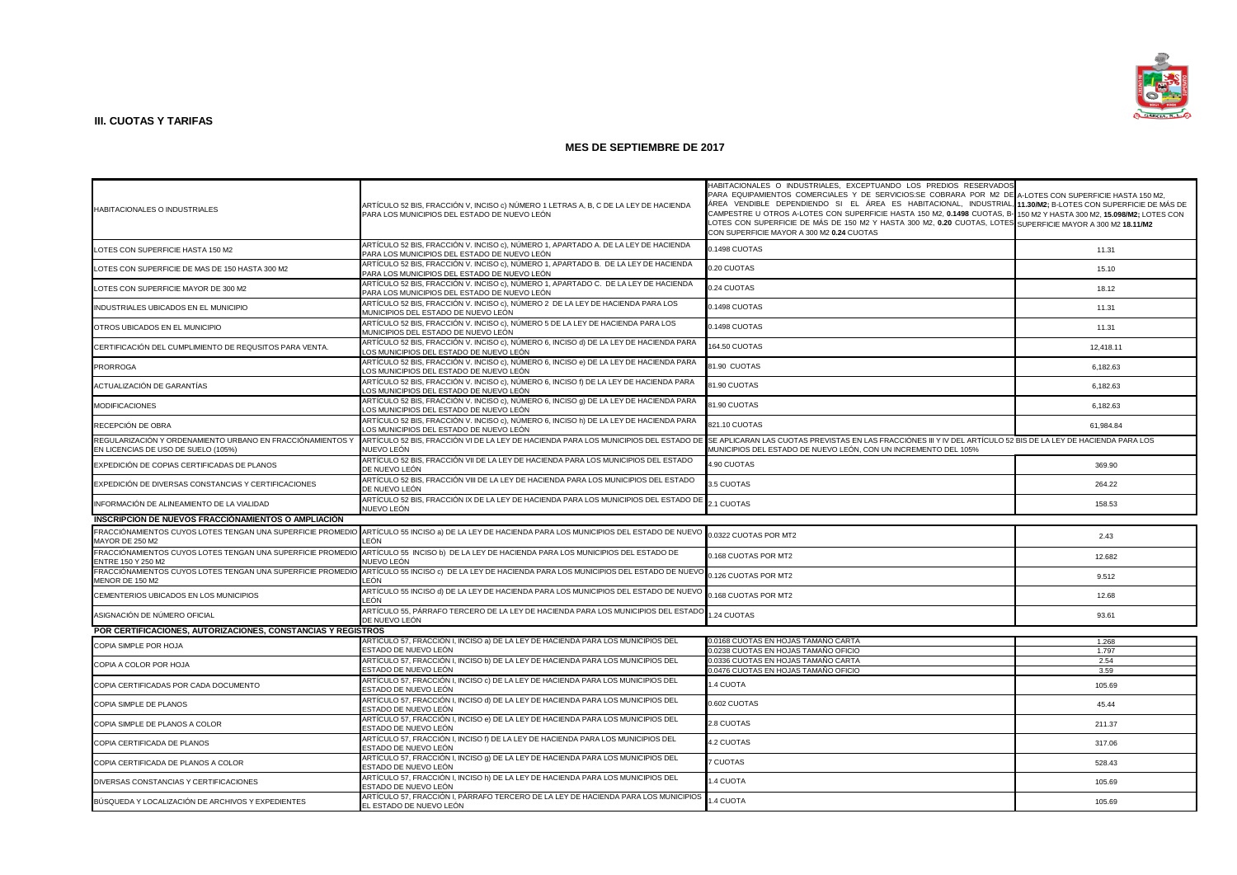

| HABITACIONALES O INDUSTRIALES                                                                     | ARTÍCULO 52 BIS, FRACCIÓN V, INCISO c) NÚMERO 1 LETRAS A, B, C DE LA LEY DE HACIENDA<br>PARA LOS MUNICIPIOS DEL ESTADO DE NUEVO LEÓN                                                                               | HABITACIONALES O INDUSTRIALES, EXCEPTUANDO LOS PREDIOS RESERVADOS<br>PARA EQUIPAMIENTOS COMERCIALES Y DE SERVICIOS:SE COBRARA POR M2 DE A-LOTES CON SUPERFICIE HASTA 150 M2,<br>ÁREA VENDIBLE DEPENDIENDO SI EL ÁREA ES HABITACIONAL, INDUSTRIAL, 11.30/M2; B-LOTES CON SUPERFICIE DE MÁS DE<br>CAMPESTRE U OTROS A-LOTES CON SUPERFICIE HASTA 150 M2, 0.1498 CUOTAS, B-150 M2 Y HASTA 300 M2, 15.098/M2; LOTES CON<br>LOTES CON SUPERFICIE DE MÁS DE 150 M2 Y HASTA 300 M2, 0.20 CUOTAS, LOTES SUPERFICIE MAYOR A 300 M2 18.11/M2<br>CON SUPERFICIE MAYOR A 300 M2 0.24 CUOTAS |           |
|---------------------------------------------------------------------------------------------------|--------------------------------------------------------------------------------------------------------------------------------------------------------------------------------------------------------------------|---------------------------------------------------------------------------------------------------------------------------------------------------------------------------------------------------------------------------------------------------------------------------------------------------------------------------------------------------------------------------------------------------------------------------------------------------------------------------------------------------------------------------------------------------------------------------------|-----------|
| LOTES CON SUPERFICIE HASTA 150 M2                                                                 | ARTÍCULO 52 BIS, FRACCIÓN V. INCISO c), NÚMERO 1, APARTADO A. DE LA LEY DE HACIENDA<br>PARA LOS MUNICIPIOS DEL ESTADO DE NUEVO LEÓN                                                                                | 0.1498 CUOTAS                                                                                                                                                                                                                                                                                                                                                                                                                                                                                                                                                                   | 11.31     |
| LOTES CON SUPERFICIE DE MAS DE 150 HASTA 300 M2                                                   | ARTÍCULO 52 BIS, FRACCIÓN V. INCISO c), NÚMERO 1, APARTADO B. DE LA LEY DE HACIENDA<br>PARA LOS MUNICIPIOS DEL ESTADO DE NUEVO LEÓN                                                                                | 0.20 CUOTAS                                                                                                                                                                                                                                                                                                                                                                                                                                                                                                                                                                     | 15.10     |
| LOTES CON SUPERFICIE MAYOR DE 300 M2                                                              | ARTÍCULO 52 BIS, FRACCIÓN V. INCISO c), NÚMERO 1, APARTADO C. DE LA LEY DE HACIENDA<br>PARA LOS MUNICIPIOS DEL ESTADO DE NUEVO LEÓN                                                                                | 0.24 CUOTAS                                                                                                                                                                                                                                                                                                                                                                                                                                                                                                                                                                     | 18.12     |
| INDUSTRIALES UBICADOS EN EL MUNICIPIO                                                             | ARTÍCULO 52 BIS, FRACCIÓN V. INCISO c), NÚMERO 2 DE LA LEY DE HACIENDA PARA LOS<br>MUNICIPIOS DEL ESTADO DE NUEVO LEÓN                                                                                             | 0.1498 CUOTAS                                                                                                                                                                                                                                                                                                                                                                                                                                                                                                                                                                   | 11.31     |
| OTROS UBICADOS EN EL MUNICIPIO                                                                    | ARTÍCULO 52 BIS, FRACCIÓN V. INCISO c), NÚMERO 5 DE LA LEY DE HACIENDA PARA LOS<br>MUNICIPIOS DEL ESTADO DE NUEVO LEÓN                                                                                             | 0.1498 CUOTAS                                                                                                                                                                                                                                                                                                                                                                                                                                                                                                                                                                   | 11.31     |
| CERTIFICACIÓN DEL CUMPLIMIENTO DE REQUSITOS PARA VENTA.                                           | ARTÍCULO 52 BIS, FRACCIÓN V. INCISO c), NÚMERO 6, INCISO d) DE LA LEY DE HACIENDA PARA<br>OS MUNICIPIOS DEL ESTADO DE NUEVO LEÓN                                                                                   | 164.50 CUOTAS                                                                                                                                                                                                                                                                                                                                                                                                                                                                                                                                                                   | 12,418.11 |
| <b>PRORROGA</b>                                                                                   | ARTÍCULO 52 BIS, FRACCIÓN V. INCISO c), NÚMERO 6, INCISO e) DE LA LEY DE HACIENDA PARA<br>OS MUNICIPIOS DEL ESTADO DE NUEVO LEÓN                                                                                   | 81.90 CUOTAS                                                                                                                                                                                                                                                                                                                                                                                                                                                                                                                                                                    | 6,182.63  |
| ACTUALIZACIÓN DE GARANTÍAS                                                                        | ARTÍCULO 52 BIS, FRACCIÓN V. INCISO c), NÚMERO 6, INCISO f) DE LA LEY DE HACIENDA PARA<br>OS MUNICIPIOS DEL ESTADO DE NUEVO LEÓN                                                                                   | 81.90 CUOTAS                                                                                                                                                                                                                                                                                                                                                                                                                                                                                                                                                                    | 6,182.63  |
| <b>MODIFICACIONES</b>                                                                             | ARTÍCULO 52 BIS, FRACCIÓN V. INCISO c), NÚMERO 6, INCISO g) DE LA LEY DE HACIENDA PARA<br>OS MUNICIPIOS DEL ESTADO DE NUEVO LEÓN                                                                                   | 81.90 CUOTAS                                                                                                                                                                                                                                                                                                                                                                                                                                                                                                                                                                    | 6,182.63  |
| RECEPCIÓN DE OBRA                                                                                 | ARTÍCULO 52 BIS, FRACCIÓN V. INCISO c), NÚMERO 6, INCISO h) DE LA LEY DE HACIENDA PARA<br>OS MUNICIPIOS DEL ESTADO DE NUEVO LEÓN.                                                                                  | 821.10 CUOTAS                                                                                                                                                                                                                                                                                                                                                                                                                                                                                                                                                                   | 61,984.84 |
| REGULARIZACIÓN Y ORDENAMIENTO URBANO EN FRACCIÓNAMIENTOS Y<br>EN LICENCIAS DE USO DE SUELO (105%) | ARTÍCULO 52 BIS, FRACCIÓN VI DE LA LEY DE HACIENDA PARA LOS MUNICIPIOS DEL ESTADO DE SE APLICARAN LAS CUOTAS PREVISTAS EN LAS FRACCIÓNES III Y IV DEL ARTÍCULO 52 BIS DE LA LEY DE HACIENDA PARA LOS<br>NUEVO LEÓN | MUNICIPIOS DEL ESTADO DE NUEVO LEÓN, CON UN INCREMENTO DEL 105%                                                                                                                                                                                                                                                                                                                                                                                                                                                                                                                 |           |
| EXPEDICIÓN DE COPIAS CERTIFICADAS DE PLANOS                                                       | ARTÍCULO 52 BIS, FRACCIÓN VII DE LA LEY DE HACIENDA PARA LOS MUNICIPIOS DEL ESTADO<br>DE NUEVO LEÓN                                                                                                                | 4.90 CUOTAS                                                                                                                                                                                                                                                                                                                                                                                                                                                                                                                                                                     | 369.90    |
| EXPEDICIÓN DE DIVERSAS CONSTANCIAS Y CERTIFICACIONES                                              | ARTÍCULO 52 BIS, FRACCIÓN VIII DE LA LEY DE HACIENDA PARA LOS MUNICIPIOS DEL ESTADO<br>DE NUEVO LEÓN                                                                                                               | 3.5 CUOTAS                                                                                                                                                                                                                                                                                                                                                                                                                                                                                                                                                                      | 264.22    |
| INFORMACIÓN DE ALINEAMIENTO DE LA VIALIDAD                                                        | ARTÍCULO 52 BIS, FRACCIÓN IX DE LA LEY DE HACIENDA PARA LOS MUNICIPIOS DEL ESTADO DE<br>NUEVO LEÓN                                                                                                                 | 2.1 CUOTAS                                                                                                                                                                                                                                                                                                                                                                                                                                                                                                                                                                      | 158.53    |
| INSCRIPCION DE NUEVOS FRACCIÓNAMIENTOS O AMPLIACIÓN                                               |                                                                                                                                                                                                                    |                                                                                                                                                                                                                                                                                                                                                                                                                                                                                                                                                                                 |           |
| MAYOR DE 250 M2                                                                                   | FRACCIÓNAMIENTOS CUYOS LOTES TENGAN UNA SUPERFICIE PROMEDIO ARTÍCULO 55 INCISO a) DE LA LEY DE HACIENDA PARA LOS MUNICIPIOS DEL ESTADO DE NUEVO 0.0322 CUOTAS POR MT2<br>FÓN                                       |                                                                                                                                                                                                                                                                                                                                                                                                                                                                                                                                                                                 | 2.43      |
| FRACCIÓNAMIENTOS CUYOS LOTES TENGAN UNA SUPERFICIE PROMEDIO<br>ENTRE 150 Y 250 M2                 | ARTÍCULO 55 INCISO b) DE LA LEY DE HACIENDA PARA LOS MUNICIPIOS DEL ESTADO DE<br>NUEVO LEÓN                                                                                                                        | 0.168 CUOTAS POR MT2                                                                                                                                                                                                                                                                                                                                                                                                                                                                                                                                                            | 12.682    |
| FRACCIÓNAMIENTOS CUYOS LOTES TENGAN UNA SUPERFICIE PROMEDIO<br>MENOR DE 150 M2                    | ARTÍCULO 55 INCISO c) DE LA LEY DE HACIENDA PARA LOS MUNICIPIOS DEL ESTADO DE NUEVO<br>FÓN                                                                                                                         | 0.126 CUOTAS POR MT2                                                                                                                                                                                                                                                                                                                                                                                                                                                                                                                                                            | 9.512     |
| CEMENTERIOS UBICADOS EN LOS MUNICIPIOS                                                            | ARTÍCULO 55 INCISO d) DE LA LEY DE HACIENDA PARA LOS MUNICIPIOS DEL ESTADO DE NUEVO<br>FÓN                                                                                                                         | 0.168 CUOTAS POR MT2                                                                                                                                                                                                                                                                                                                                                                                                                                                                                                                                                            | 12.68     |
| ASIGNACIÓN DE NÚMERO OFICIAL                                                                      | ARTÍCULO 55, PÁRRAFO TERCERO DE LA LEY DE HACIENDA PARA LOS MUNICIPIOS DEL ESTADO<br>DE NUEVO LEÓN                                                                                                                 | 1.24 CUOTAS                                                                                                                                                                                                                                                                                                                                                                                                                                                                                                                                                                     | 93.61     |
| POR CERTIFICACIONES, AUTORIZACIONES, CONSTANCIAS Y REGISTROS                                      |                                                                                                                                                                                                                    |                                                                                                                                                                                                                                                                                                                                                                                                                                                                                                                                                                                 |           |
|                                                                                                   | ARTÍCULO 57, FRACCIÓN I, INCISO a) DE LA LEY DE HACIENDA PARA LOS MUNICIPIOS DEL                                                                                                                                   | 0.0168 CUOTAS EN HOJAS TAMAÑO CARTA                                                                                                                                                                                                                                                                                                                                                                                                                                                                                                                                             | 1.268     |
| COPIA SIMPLE POR HOJA                                                                             | ESTADO DE NUEVO LEÓN                                                                                                                                                                                               | 0.0238 CUOTAS EN HOJAS TAMAÑO OFICIO                                                                                                                                                                                                                                                                                                                                                                                                                                                                                                                                            | 1.797     |
|                                                                                                   | ARTÍCULO 57, FRACCIÓN I, INCISO b) DE LA LEY DE HACIENDA PARA LOS MUNICIPIOS DEL                                                                                                                                   | 0.0336 CUOTAS EN HOJAS TAMAÑO CARTA                                                                                                                                                                                                                                                                                                                                                                                                                                                                                                                                             | 2.54      |
| COPIA A COLOR POR HOJA                                                                            | ESTADO DE NUEVO LEÓN                                                                                                                                                                                               | 0.0476 CUOTAS EN HOJAS TAMAÑO OFICIO                                                                                                                                                                                                                                                                                                                                                                                                                                                                                                                                            | 3.59      |
| COPIA CERTIFICADAS POR CADA DOCUMENTO                                                             | ARTÍCULO 57, FRACCIÓN I, INCISO c) DE LA LEY DE HACIENDA PARA LOS MUNICIPIOS DEL<br>ESTADO DE NUEVO LEÓN                                                                                                           | 1.4 CUOTA                                                                                                                                                                                                                                                                                                                                                                                                                                                                                                                                                                       | 105.69    |
| COPIA SIMPLE DE PLANOS                                                                            | ARTÍCULO 57, FRACCIÓN I, INCISO d) DE LA LEY DE HACIENDA PARA LOS MUNICIPIOS DEL<br>ESTADO DE NUEVO LEÓN                                                                                                           | 0.602 CUOTAS                                                                                                                                                                                                                                                                                                                                                                                                                                                                                                                                                                    | 45.44     |
| COPIA SIMPLE DE PLANOS A COLOR                                                                    | ARTÍCULO 57, FRACCIÓN I, INCISO e) DE LA LEY DE HACIENDA PARA LOS MUNICIPIOS DEL<br>STADO DE NUEVO LEÓN                                                                                                            | 2.8 CUOTAS                                                                                                                                                                                                                                                                                                                                                                                                                                                                                                                                                                      | 211.37    |
| COPIA CERTIFICADA DE PLANOS                                                                       | ARTÍCULO 57, FRACCIÓN I, INCISO f) DE LA LEY DE HACIENDA PARA LOS MUNICIPIOS DEL<br>ESTADO DE NUEVO LEÓN                                                                                                           | 4.2 CUOTAS                                                                                                                                                                                                                                                                                                                                                                                                                                                                                                                                                                      | 317.06    |
| COPIA CERTIFICADA DE PLANOS A COLOR                                                               | ARTÍCULO 57, FRACCIÓN I, INCISO 9) DE LA LEY DE HACIENDA PARA LOS MUNICIPIOS DEL<br>ESTADO DE NUEVO LEÓN                                                                                                           | <b>7 CUOTAS</b>                                                                                                                                                                                                                                                                                                                                                                                                                                                                                                                                                                 | 528.43    |
| DIVERSAS CONSTANCIAS Y CERTIFICACIONES                                                            | ARTÍCULO 57, FRACCIÓN I, INCISO h) DE LA LEY DE HACIENDA PARA LOS MUNICIPIOS DEL<br>ESTADO DE NUEVO LEÓN                                                                                                           | <b>4 CUOTA</b>                                                                                                                                                                                                                                                                                                                                                                                                                                                                                                                                                                  | 105.69    |
| BÚSQUEDA Y LOCALIZACIÓN DE ARCHIVOS Y EXPEDIENTES                                                 | ARTÍCULO 57, FRACCIÓN I, PÁRRAFO TERCERO DE LA LEY DE HACIENDA PARA LOS MUNICIPIOS<br>EL ESTADO DE NUEVO LEÓN                                                                                                      | 1.4 CUOTA                                                                                                                                                                                                                                                                                                                                                                                                                                                                                                                                                                       | 105.69    |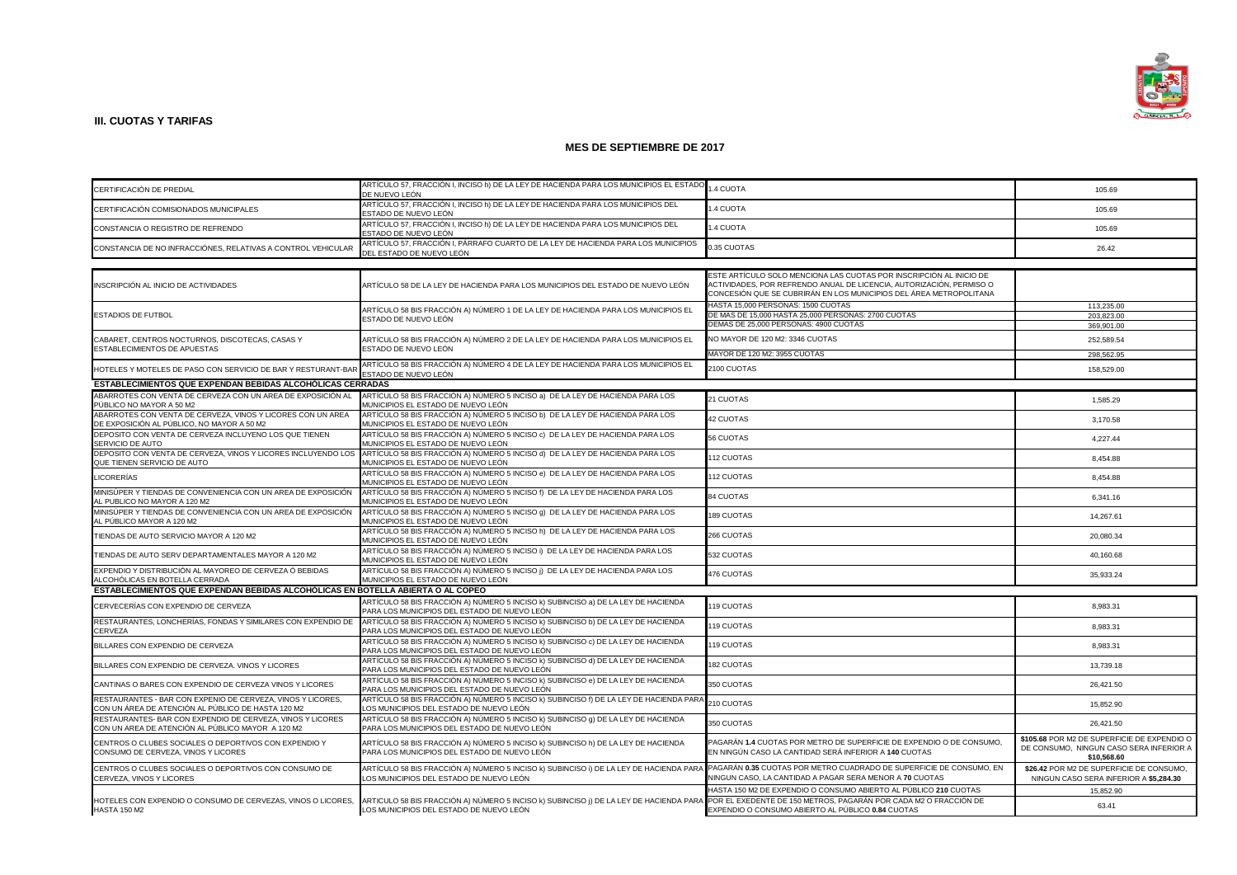

| CERTIFICACIÓN DE PREDIAL                                                                                          | ARTÍCULO 57, FRACCIÓN I, INCISO h) DE LA LEY DE HACIENDA PARA LOS MUNICIPIOS EL ESTADO<br>DE NUEVO LEÓN                           | <b>4 CUOTA</b>                                                                                                                                                                                                    | 105.69                                                                                                |
|-------------------------------------------------------------------------------------------------------------------|-----------------------------------------------------------------------------------------------------------------------------------|-------------------------------------------------------------------------------------------------------------------------------------------------------------------------------------------------------------------|-------------------------------------------------------------------------------------------------------|
| CERTIFICACIÓN COMISIONADOS MUNICIPALES                                                                            | ARTÍCULO 57, FRACCIÓN I, INCISO h) DE LA LEY DE HACIENDA PARA LOS MUNICIPIOS DEL<br>ESTADO DE NUEVO LEÓN                          | .4 CUOTA                                                                                                                                                                                                          | 105.69                                                                                                |
| CONSTANCIA O REGISTRO DE REFRENDO                                                                                 | ARTÍCULO 57, FRACCIÓN I, INCISO h) DE LA LEY DE HACIENDA PARA LOS MUNICIPIOS DEL<br>ESTADO DE NUEVO LEÓN                          | <b>4 CUOTA</b>                                                                                                                                                                                                    | 105.69                                                                                                |
| CONSTANCIA DE NO INFRACCIÓNES, RELATIVAS A CONTROL VEHICULAR                                                      | ARTÍCULO 57, FRACCIÓN I, PÁRRAFO CUARTO DE LA LEY DE HACIENDA PARA LOS MUNICIPIOS<br>DEL ESTADO DE NUEVO LEÓN                     | 0.35 CUOTAS                                                                                                                                                                                                       | 26.42                                                                                                 |
|                                                                                                                   |                                                                                                                                   |                                                                                                                                                                                                                   |                                                                                                       |
|                                                                                                                   |                                                                                                                                   |                                                                                                                                                                                                                   |                                                                                                       |
| INSCRIPCIÓN AL INICIO DE ACTIVIDADES                                                                              | ARTÍCULO 58 DE LA LEY DE HACIENDA PARA LOS MUNICIPIOS DEL ESTADO DE NUEVO LEÓN                                                    | ESTE ARTÍCULO SOLO MENCIONA LAS CUOTAS POR INSCRIPCIÓN AL INICIO DE<br>ACTIVIDADES, POR REFRENDO ANUAL DE LICENCIA, AUTORIZACIÓN, PERMISO O<br>CONCESIÓN QUE SE CUBRIRÁN EN LOS MUNICIPIOS DEL ÁREA METROPOLITANA |                                                                                                       |
|                                                                                                                   |                                                                                                                                   | HASTA 15,000 PERSONAS: 1500 CUOTAS                                                                                                                                                                                | 113,235.00                                                                                            |
| <b>ESTADIOS DE FUTBOL</b>                                                                                         | ARTÍCULO 58 BIS FRACCIÓN A) NÚMERO 1 DE LA LEY DE HACIENDA PARA LOS MUNICIPIOS EL                                                 | DE MAS DE 15,000 HASTA 25,000 PERSONAS: 2700 CUOTAS                                                                                                                                                               | 203.823.00                                                                                            |
|                                                                                                                   | ESTADO DE NUEVO LEÓN                                                                                                              | DEMAS DE 25,000 PERSONAS: 4900 CUOTAS                                                                                                                                                                             | 369,901.00                                                                                            |
|                                                                                                                   |                                                                                                                                   |                                                                                                                                                                                                                   |                                                                                                       |
| CABARET, CENTROS NOCTURNOS, DISCOTECAS, CASAS Y<br>ESTABLECIMIENTOS DE APUESTAS                                   | ARTÍCULO 58 BIS FRACCIÓN A) NÚMERO 2 DE LA LEY DE HACIENDA PARA LOS MUNICIPIOS EL<br>ESTADO DE NUEVO LEÓN                         | VO MAYOR DE 120 M2: 3346 CUOTAS                                                                                                                                                                                   | 252,589.54                                                                                            |
|                                                                                                                   |                                                                                                                                   | MAYOR DE 120 M2: 3955 CUOTAS                                                                                                                                                                                      | 298,562.95                                                                                            |
| HOTELES Y MOTELES DE PASO CON SERVICIO DE BAR Y RESTURANT-BAF                                                     | ARTÍCULO 58 BIS FRACCIÓN A) NÚMERO 4 DE LA LEY DE HACIENDA PARA LOS MUNICIPIOS EL<br>ESTADO DE NUEVO LEÓN                         | 2100 CUOTAS                                                                                                                                                                                                       | 158,529.00                                                                                            |
| <b>ESTABLECIMIENTOS QUE EXPENDAN BEBIDAS ALCOHÓLICAS CERRADAS</b>                                                 |                                                                                                                                   |                                                                                                                                                                                                                   |                                                                                                       |
| ABARROTES CON VENTA DE CERVEZA CON UN AREA DE EXPOSICIÓN AL<br>PÚBLICO NO MAYOR A 50 M2                           | ARTÍCULO 58 BIS FRACCIÓN A) NÚMERO 5 INCISO a) DE LA LEY DE HACIENDA PARA LOS<br>MUNICIPIOS EL ESTADO DE NUEVO LEÓN               | 21 CUOTAS                                                                                                                                                                                                         | 1,585.29                                                                                              |
| ABARROTES CON VENTA DE CERVEZA, VINOS Y LICORES CON UN AREA<br>DE EXPOSICIÓN AL PÚBLICO, NO MAYOR A 50 M2         | ARTÍCULO 58 BIS FRACCIÓN A) NÚMERO 5 INCISO b) DE LA LEY DE HACIENDA PARA LOS<br>MUNICIPIOS EL ESTADO DE NUEVO LEÓN               | <b>42 CUOTAS</b>                                                                                                                                                                                                  | 3,170.58                                                                                              |
| DEPOSITO CON VENTA DE CERVEZA INCLUYENO LOS QUE TIENEN<br>SERVICIO DE AUTO                                        | ARTÍCULO 58 BIS FRACCIÓN A) NÚMERO 5 INCISO c) DE LA LEY DE HACIENDA PARA LOS<br>MUNICIPIOS EL ESTADO DE NUEVO LEÓN               | <b>56 CUOTAS</b>                                                                                                                                                                                                  | 4.227.44                                                                                              |
| DEPOSITO CON VENTA DE CERVEZA, VINOS Y LICORES INCLUYENDO LOS<br>QUE TIENEN SERVICIO DE AUTO                      | ARTÍCULO 58 BIS FRACCIÓN A) NÚMERO 5 INCISO d) DE LA LEY DE HACIENDA PARA LOS<br>MUNICIPIOS EL ESTADO DE NUEVO LEÓN               | 112 CUOTAS                                                                                                                                                                                                        | 8.454.88                                                                                              |
| LICORERÍAS                                                                                                        | ARTÍCULO 58 BIS FRACCIÓN A) NÚMERO 5 INCISO e) DE LA LEY DE HACIENDA PARA LOS<br>MUNICIPIOS EL ESTADO DE NUEVO LEÓN               | 112 CUOTAS                                                                                                                                                                                                        | 8,454.88                                                                                              |
| MINISÚPER Y TIENDAS DE CONVENIENCIA CON UN AREA DE EXPOSICIÓN<br>AL PUBLICO NO MAYOR A 120 M2                     | ARTÍCULO 58 BIS FRACCIÓN A) NÚMERO 5 INCISO f) DE LA LEY DE HACIENDA PARA LOS<br>MUNICIPIOS EL ESTADO DE NUEVO LEÓN               | <b>84 CUOTAS</b>                                                                                                                                                                                                  | 6,341.16                                                                                              |
| MINISÚPER Y TIENDAS DE CONVENIENCIA CON UN AREA DE EXPOSICIÓN<br>AL PÚBLICO MAYOR A 120 M2                        | ARTÍCULO 58 BIS FRACCIÓN A) NÚMERO 5 INCISO 9) DE LA LEY DE HACIENDA PARA LOS<br>MUNICIPIOS EL ESTADO DE NUEVO LEÓN               | <b>189 CUOTAS</b>                                                                                                                                                                                                 | 14,267.61                                                                                             |
| TIENDAS DE AUTO SERVICIO MAYOR A 120 M2                                                                           | ARTÍCULO 58 BIS FRACCIÓN A) NÚMERO 5 INCISO h) DE LA LEY DE HACIENDA PARA LOS<br>MUNICIPIOS EL ESTADO DE NUEVO LEÓN               | 266 CUOTAS                                                                                                                                                                                                        | 20,080.34                                                                                             |
| TIENDAS DE AUTO SERV DEPARTAMENTALES MAYOR A 120 M2                                                               | ARTÍCULO 58 BIS FRACCIÓN A) NÚMERO 5 INCISO I) DE LA LEY DE HACIENDA PARA LOS<br>MUNICIPIOS EL ESTADO DE NUEVO LEÓN               | 532 CUOTAS                                                                                                                                                                                                        | 40,160.68                                                                                             |
| EXPENDIO Y DISTRIBUCIÓN AL MAYOREO DE CERVEZA Ó BEBIDAS<br>ALCOHÓLICAS EN BOTELLA CERRADA                         | ARTÍCULO 58 BIS FRACCIÓN A) NÚMERO 5 INCISO j) DE LA LEY DE HACIENDA PARA LOS<br>MUNICIPIOS EL ESTADO DE NUEVO LEÓN               | 476 CUOTAS                                                                                                                                                                                                        | 35,933.24                                                                                             |
| ESTABLECIMIENTOS QUE EXPENDAN BEBIDAS ALCOHÓLICAS EN BOTELLA ABIERTA O AL COPEO                                   |                                                                                                                                   |                                                                                                                                                                                                                   |                                                                                                       |
| CERVECERÍAS CON EXPENDIO DE CERVEZA                                                                               | ARTÍCULO 58 BIS FRACCIÓN A) NÚMERO 5 INCISO k) SUBINCISO a) DE LA LEY DE HACIENDA<br>PARA LOS MUNICIPIOS DEL ESTADO DE NUEVO LEÓN | 119 CUOTAS                                                                                                                                                                                                        | 8,983.31                                                                                              |
| RESTAURANTES, LONCHERÍAS, FONDAS Y SIMILARES CON EXPENDIO DE<br>CERVEZA                                           | ARTÍCULO 58 BIS FRACCIÓN A) NÚMERO 5 INCISO k) SUBINCISO b) DE LA LEY DE HACIENDA<br>PARA LOS MUNICIPIOS DEL ESTADO DE NUEVO LEÓN | 119 CUOTAS                                                                                                                                                                                                        | 8,983.31                                                                                              |
| BILLARES CON EXPENDIO DE CERVEZA                                                                                  | ARTÍCULO 58 BIS FRACCIÓN A) NÚMERO 5 INCISO k) SUBINCISO c) DE LA LEY DE HACIENDA<br>PARA LOS MUNICIPIOS DEL ESTADO DE NUEVO LEÓN | 119 CUOTAS                                                                                                                                                                                                        | 8,983.31                                                                                              |
| BILLARES CON EXPENDIO DE CERVEZA, VINOS Y LICORES                                                                 | ARTÍCULO 58 BIS FRACCIÓN A) NÚMERO 5 INCISO k) SUBINCISO d) DE LA LEY DE HACIENDA<br>PARA LOS MUNICIPIOS DEL ESTADO DE NUEVO LEÓN | <b>82 CUOTAS</b>                                                                                                                                                                                                  | 13,739.18                                                                                             |
| CANTINAS O BARES CON EXPENDIO DE CERVEZA VINOS Y LICORES                                                          | ARTÍCULO 58 BIS FRACCIÓN A) NÚMERO 5 INCISO k) SUBINCISO e) DE LA LEY DE HACIENDA<br>PARA LOS MUNICIPIOS DEL ESTADO DE NUEVO LEÓN | <b>350 CUOTAS</b>                                                                                                                                                                                                 | 26,421.50                                                                                             |
| RESTAURANTES - BAR CON EXPENIO DE CERVEZA, VINOS Y LICORES.<br>CON UN ÁREA DE ATENCIÓN AL PÚBLICO DE HASTA 120 M2 | ARTÍCULO 58 BIS FRACCIÓN A) NÚMERO 5 INCISO k) SUBINCISO f) DE LA LEY DE HACIENDA PARA<br>LOS MUNICIPIOS DEL ESTADO DE NUEVO LEÓN | 210 CUOTAS                                                                                                                                                                                                        | 15,852.90                                                                                             |
| RESTAURANTES- BAR CON EXPENDIO DE CERVEZA, VINOS Y LICORES<br>CON UN AREA DE ATENCIÓN AL PÚBLICO MAYOR A 120 M2   | ARTÍCULO 58 BIS FRACCIÓN A) NÚMERO 5 INCISO k) SUBINCISO g) DE LA LEY DE HACIENDA<br>PARA LOS MUNICIPIOS DEL ESTADO DE NUEVO LEÓN | 350 CUOTAS                                                                                                                                                                                                        | 26,421.50                                                                                             |
| CENTROS O CLUBES SOCIALES O DEPORTIVOS CON EXPENDIO Y<br>CONSUMO DE CERVEZA, VINOS Y LICORES                      | ARTÍCULO 58 BIS FRACCIÓN A) NÚMERO 5 INCISO k) SUBINCISO h) DE LA LEY DE HACIENDA<br>PARA LOS MUNICIPIOS DEL ESTADO DE NUEVO LEÓN | PAGARÁN 1.4 CUOTAS POR METRO DE SUPERFICIE DE EXPENDIO O DE CONSUMO,<br>EN NINGÚN CASO LA CANTIDAD SERÁ INFERIOR A 140 CUOTAS                                                                                     | \$105.68 POR M2 DE SUPERFICIE DE EXPENDIO O<br>DE CONSUMO, NINGUN CASO SERA INFERIOR A<br>\$10,568.60 |
| CENTROS O CLUBES SOCIALES O DEPORTIVOS CON CONSUMO DE<br>CERVEZA, VINOS Y LICORES                                 | ARTÍCULO 58 BIS FRACCIÓN A) NÚMERO 5 INCISO k) SUBINCISO i) DE LA LEY DE HACIENDA PARA<br>LOS MUNICIPIOS DEL ESTADO DE NUEVO LEÓN | PAGARÁN 0.35 CUOTAS POR METRO CUADRADO DE SUPERFICIE DE CONSUMO. EN<br>NINGUN CASO, LA CANTIDAD A PAGAR SERA MENOR A 70 CUOTAS                                                                                    | \$26.42 POR M2 DE SUPERFICIE DE CONSUMO,<br>NINGUN CASO SERA INFERIOR A \$5,284.30                    |
|                                                                                                                   |                                                                                                                                   | HASTA 150 M2 DE EXPENDIO O CONSUMO ABIERTO AL PÚBLICO <b>210</b> CUOTAS                                                                                                                                           | 15,852.90                                                                                             |
| HOTELES CON EXPENDIO O CONSUMO DE CERVEZAS, VINOS O LICORES,<br><b>HASTA 150 M2</b>                               | ARTICULO 58 BIS FRACCIÓN A) NÚMERO 5 INCISO k) SUBINCISO j) DE LA LEY DE HACIENDA PARA<br>LOS MUNICIPIOS DEL ESTADO DE NUEVO LEÓN | POR EL EXEDENTE DE 150 METROS, PAGARÁN POR CADA M2 O FRACCIÓN DE<br>EXPENDIO O CONSUMO ABIERTO AL PÚBLICO 0.84 CUOTAS                                                                                             | 63.41                                                                                                 |
|                                                                                                                   |                                                                                                                                   |                                                                                                                                                                                                                   |                                                                                                       |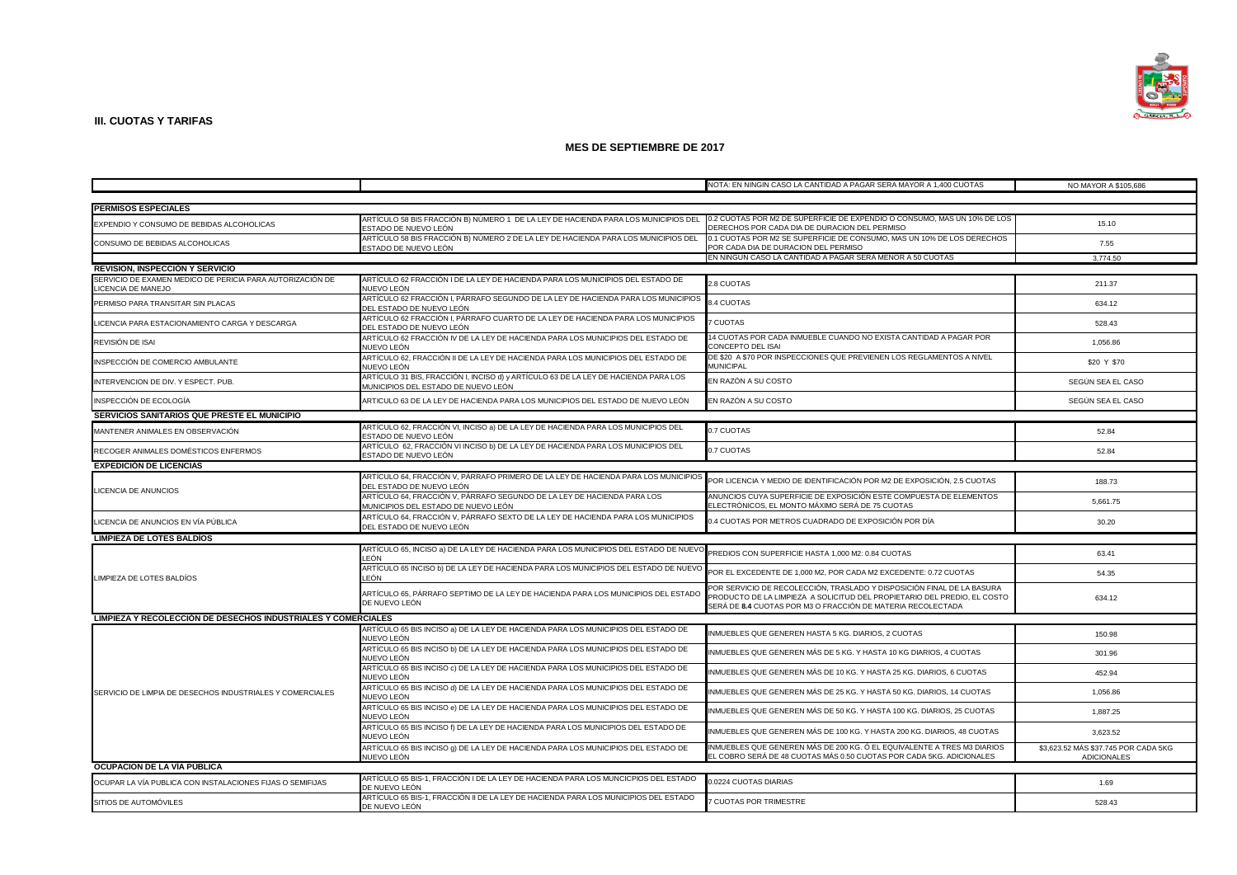

|                                                               |                                                                                                                                                                                     | NOTA: EN NINGIN CASO LA CANTIDAD A PAGAR SERA MAYOR A 1,400 CUOTAS                                                                                                                                                | NO MAYOR A \$105,686                                       |
|---------------------------------------------------------------|-------------------------------------------------------------------------------------------------------------------------------------------------------------------------------------|-------------------------------------------------------------------------------------------------------------------------------------------------------------------------------------------------------------------|------------------------------------------------------------|
|                                                               |                                                                                                                                                                                     |                                                                                                                                                                                                                   |                                                            |
| <b>PERMISOS ESPECIALES</b>                                    |                                                                                                                                                                                     |                                                                                                                                                                                                                   |                                                            |
| EXPENDIO Y CONSUMO DE BEBIDAS ALCOHOLICAS                     | ARTÍCULO 58 BIS FRACCIÓN B) NÚMERO 1 DE LA LEY DE HACIENDA PARA LOS MUNICIPIOS DEL 0.2 CUOTAS POR M2 DE SUPERFICIE DE EXPENDIO O CONSUMO, MAS UN 10% DE LOS<br>ESTADO DE NUEVO LEÓN | DERECHOS POR CADA DIA DE DURACION DEL PERMISO                                                                                                                                                                     | 15.10                                                      |
| CONSUMO DE BEBIDAS ALCOHOLICAS                                | ARTÍCULO 58 BIS FRACCIÓN B) NÚMERO 2 DE LA LEY DE HACIENDA PARA LOS MUNICIPIOS DEL<br>ESTADO DE NUEVO LEÓN                                                                          | 0.1 CUOTAS POR M2 SE SUPERFICIE DE CONSUMO, MAS UN 10% DE LOS DERECHOS<br>POR CADA DIA DE DURACION DEL PERMISO                                                                                                    | 7.55                                                       |
| <b>REVISION, INSPECCIÓN Y SERVICIO</b>                        |                                                                                                                                                                                     | EN NINGUN CASO LA CANTIDAD A PAGAR SERÁ MENOR A 50 CUOTAS                                                                                                                                                         | 3.774.50                                                   |
| SERVICIO DE EXAMEN MEDICO DE PERICIA PARA AUTORIZACIÓN DE     | ARTÍCULO 62 FRACCIÓN I DE LA LEY DE HACIENDA PARA LOS MUNICIPIOS DEL ESTADO DE                                                                                                      |                                                                                                                                                                                                                   |                                                            |
| LICENCIA DE MANEJO                                            | NUEVO LEÓN                                                                                                                                                                          | 2.8 CUOTAS                                                                                                                                                                                                        | 211.37                                                     |
| PERMISO PARA TRANSITAR SIN PLACAS                             | ARTÍCULO 62 FRACCIÓN I, PÁRRAFO SEGUNDO DE LA LEY DE HACIENDA PARA LOS MUNICIPIOS<br>DEL ESTADO DE NUEVO LEÓN                                                                       | <b>3.4 CUOTAS</b>                                                                                                                                                                                                 | 634.12                                                     |
| LICENCIA PARA ESTACIONAMIENTO CARGA Y DESCARGA                | ARTÍCULO 62 FRACCIÓN I, PÁRRAFO CUARTO DE LA LEY DE HACIENDA PARA LOS MUNICIPIOS<br>DEL ESTADO DE NUEVO LEÓN                                                                        | CUOTAS                                                                                                                                                                                                            | 528.43                                                     |
| REVISIÓN DE ISAI                                              | ARTÍCULO 62 FRACCIÓN IV DE LA LEY DE HACIENDA PARA LOS MUNICIPIOS DEL ESTADO DE<br>NUEVO LEÓN                                                                                       | 14 CUOTAS POR CADA INMUEBLE CUANDO NO EXISTA CANTIDAD A PAGAR POR<br>CONCEPTO DEL ISAI                                                                                                                            | 1,056.86                                                   |
| INSPECCIÓN DE COMERCIO AMBULANTE                              | ARTÍCULO 62, FRACCIÓN II DE LA LEY DE HACIENDA PARA LOS MUNICIPIOS DEL ESTADO DE<br>NUEVO LEÓN                                                                                      | DE \$20 A \$70 POR INSPECCIONES QUE PREVIENEN LOS REGLAMENTOS A NIVEL<br><b>MUNICIPAL</b>                                                                                                                         | \$20 Y \$70                                                |
| INTERVENCION DE DIV. Y ESPECT. PUB.                           | ARTÍCULO 31 BIS, FRACCIÓN I, INCISO d) y ARTÍCULO 63 DE LA LEY DE HACIENDA PARA LOS<br>MUNICIPIOS DEL ESTADO DE NUEVO LEÓN                                                          | EN RAZÓN A SU COSTO                                                                                                                                                                                               | SEGÚN SEA EL CASO                                          |
| INSPECCIÓN DE ECOLOGÍA                                        | ARTICULO 63 DE LA LEY DE HACIENDA PARA LOS MUNICIPIOS DEL ESTADO DE NUEVO LEÓN                                                                                                      | EN RAZÓN A SU COSTO                                                                                                                                                                                               | SEGÚN SEA EL CASO                                          |
| SERVICIOS SANITARIOS QUE PRESTE EL MUNICIPIO                  |                                                                                                                                                                                     |                                                                                                                                                                                                                   |                                                            |
| MANTENER ANIMALES EN OBSERVACIÓN                              | ARTÍCULO 62, FRACCIÓN VI, INCISO a) DE LA LEY DE HACIENDA PARA LOS MUNICIPIOS DEL<br>ESTADO DE NUEVO LEÓN                                                                           | 0.7 CUOTAS                                                                                                                                                                                                        | 52.84                                                      |
| RECOGER ANIMALES DOMÉSTICOS ENFERMOS                          | ARTÍCULO 62, FRACCIÓN VI INCISO b) DE LA LEY DE HACIENDA PARA LOS MUNICIPIOS DEL<br>ESTADO DE NUEVO LEÓN                                                                            | 0.7 CUOTAS                                                                                                                                                                                                        | 52.84                                                      |
| <b>EXPEDICIÓN DE LICENCIAS</b>                                |                                                                                                                                                                                     |                                                                                                                                                                                                                   |                                                            |
| LICENCIA DE ANUNCIOS                                          | ARTÍCULO 64, FRACCIÓN V, PÁRRAFO PRIMERO DE LA LEY DE HACIENDA PARA LOS MUNICIPIOS<br>DEL ESTADO DE NUEVO LEÓN                                                                      | POR LICENCIA Y MEDIO DE IDENTIFICACIÓN POR M2 DE EXPOSICIÓN, 2.5 CUOTAS                                                                                                                                           | 188.73                                                     |
|                                                               | ARTÍCULO 64, FRACCIÓN V, PÁRRAFO SEGUNDO DE LA LEY DE HACIENDA PARA LOS<br>MUNICIPIOS DEL ESTADO DE NUEVO LEÓN                                                                      | ANUNCIOS CUYA SUPERFICIE DE EXPOSICIÓN ESTE COMPUESTA DE ELEMENTOS<br>ELECTRÓNICOS, EL MONTO MÁXIMO SERÁ DE 75 CUOTAS                                                                                             | 5,661.75                                                   |
| LICENCIA DE ANUNCIOS EN VÍA PÚBLICA                           | ARTÍCULO 64, FRACCIÓN V, PÁRRAFO SEXTO DE LA LEY DE HACIENDA PARA LOS MUNICIPIOS<br>DEL ESTADO DE NUEVO LEÓN                                                                        | ).4 CUOTAS POR METROS CUADRADO DE EXPOSICIÓN POR DÍA                                                                                                                                                              | 30.20                                                      |
| <b>LIMPIEZA DE LOTES BALDIOS</b>                              |                                                                                                                                                                                     |                                                                                                                                                                                                                   |                                                            |
|                                                               | ARTÍCULO 65, INCISO a) DE LA LEY DE HACIENDA PARA LOS MUNICIPIOS DEL ESTADO DE NUEVO<br>.EÓN                                                                                        | PREDIOS CON SUPERFICIE HASTA 1,000 M2: 0.84 CUOTAS                                                                                                                                                                | 63.41                                                      |
| LIMPIEZA DE LOTES BALDÍOS                                     | ARTÍCULO 65 INCISO b) DE LA LEY DE HACIENDA PARA LOS MUNICIPIOS DEL ESTADO DE NUEVO<br>.EÓN                                                                                         | POR EL EXCEDENTE DE 1,000 M2, POR CADA M2 EXCEDENTE: 0.72 CUOTAS                                                                                                                                                  | 54.35                                                      |
|                                                               | ARTÍCULO 65, PÁRRAFO SEPTIMO DE LA LEY DE HACIENDA PARA LOS MUNICIPIOS DEL ESTADO<br>DE NUEVO LEÓN                                                                                  | POR SERVICIO DE RECOLECCIÓN, TRASLADO Y DISPOSICIÓN FINAL DE LA BASURA<br>PRODUCTO DE LA LIMPIEZA A SOLICITUD DEL PROPIETARIO DEL PREDIO, EL COSTO<br>SERÁ DE 8.4 CUOTAS POR M3 O FRACCIÓN DE MATERIA RECOLECTADA | 634.12                                                     |
| LIMPIEZA Y RECOLECCIÓN DE DESECHOS INDUSTRIALES Y COMERCIALES |                                                                                                                                                                                     |                                                                                                                                                                                                                   |                                                            |
|                                                               | ARTÍCULO 65 BIS INCISO a) DE LA LEY DE HACIENDA PARA LOS MUNICIPIOS DEL ESTADO DE<br>NUEVO LEÓN                                                                                     | INMUEBLES QUE GENEREN HASTA 5 KG. DIARIOS, 2 CUOTAS                                                                                                                                                               | 150.98                                                     |
|                                                               | ARTÍCULO 65 BIS INCISO b) DE LA LEY DE HACIENDA PARA LOS MUNICIPIOS DEL ESTADO DE<br>NUEVO LEÓN                                                                                     | INMUEBLES QUE GENEREN MÁS DE 5 KG. Y HASTA 10 KG DIARIOS, 4 CUOTAS                                                                                                                                                | 301.96                                                     |
|                                                               | ARTÍCULO 65 BIS INCISO c) DE LA LEY DE HACIENDA PARA LOS MUNICIPIOS DEL ESTADO DE<br>NUEVO LEÓN                                                                                     | INMUEBLES QUE GENEREN MÁS DE 10 KG. Y HASTA 25 KG. DIARIOS, 6 CUOTAS                                                                                                                                              | 452.94                                                     |
| SERVICIO DE LIMPIA DE DESECHOS INDUSTRIALES Y COMERCIALES     | ARTÍCULO 65 BIS INCISO d) DE LA LEY DE HACIENDA PARA LOS MUNICIPIOS DEL ESTADO DE<br>NUEVO LEÓN                                                                                     | NMUEBLES QUE GENEREN MÁS DE 25 KG. Y HASTA 50 KG. DIARIOS, 14 CUOTAS                                                                                                                                              | 1,056.86                                                   |
|                                                               | ARTÍCULO 65 BIS INCISO e) DE LA LEY DE HACIENDA PARA LOS MUNICIPIOS DEL ESTADO DE<br>NUEVO LEÓN                                                                                     | NMUEBLES QUE GENEREN MÁS DE 50 KG. Y HASTA 100 KG. DIARIOS, 25 CUOTAS                                                                                                                                             | 1,887.25                                                   |
|                                                               | ARTÍCULO 65 BIS INCISO f) DE LA LEY DE HACIENDA PARA LOS MUNICIPIOS DEL ESTADO DE<br>NUEVO LEÓN                                                                                     | INMUEBLES QUE GENEREN MÁS DE 100 KG. Y HASTA 200 KG. DIARIOS, 48 CUOTAS                                                                                                                                           | 3,623.52                                                   |
|                                                               | ARTÍCULO 65 BIS INCISO 9) DE LA LEY DE HACIENDA PARA LOS MUNICIPIOS DEL ESTADO DE<br>NUEVO LEÓN                                                                                     | INMUEBLES QUE GENEREN MÁS DE 200 KG. Ó EL EQUIVALENTE A TRES M3 DIARIOS<br>EL COBRO SERÁ DE 48 CUOTAS MÁS 0.50 CUOTAS POR CADA 5KG. ADICIONALES                                                                   | \$3,623.52 MÁS \$37.745 POR CADA 5KG<br><b>ADICIONALES</b> |
| OCUPACION DE LA VIA PÚBLICA                                   |                                                                                                                                                                                     |                                                                                                                                                                                                                   |                                                            |
| OCUPAR LA VÍA PUBLICA CON INSTALACIONES FIJAS O SEMIFIJAS     | ARTÍCULO 65 BIS-1, FRACCIÓN I DE LA LEY DE HACIENDA PARA LOS MUNCICPIOS DEL ESTADO<br>JE NUEVO LEÓN                                                                                 | 0.0224 CUOTAS DIARIAS                                                                                                                                                                                             | 1.69                                                       |
| SITIOS DE AUTOMÓVILES                                         | ARTÍCULO 65 BIS-1, FRACCIÓN II DE LA LEY DE HACIENDA PARA LOS MUNICIPIOS DEL ESTADO<br>DE NUEVO LEÓN                                                                                | CUOTAS POR TRIMESTRE                                                                                                                                                                                              | 528.43                                                     |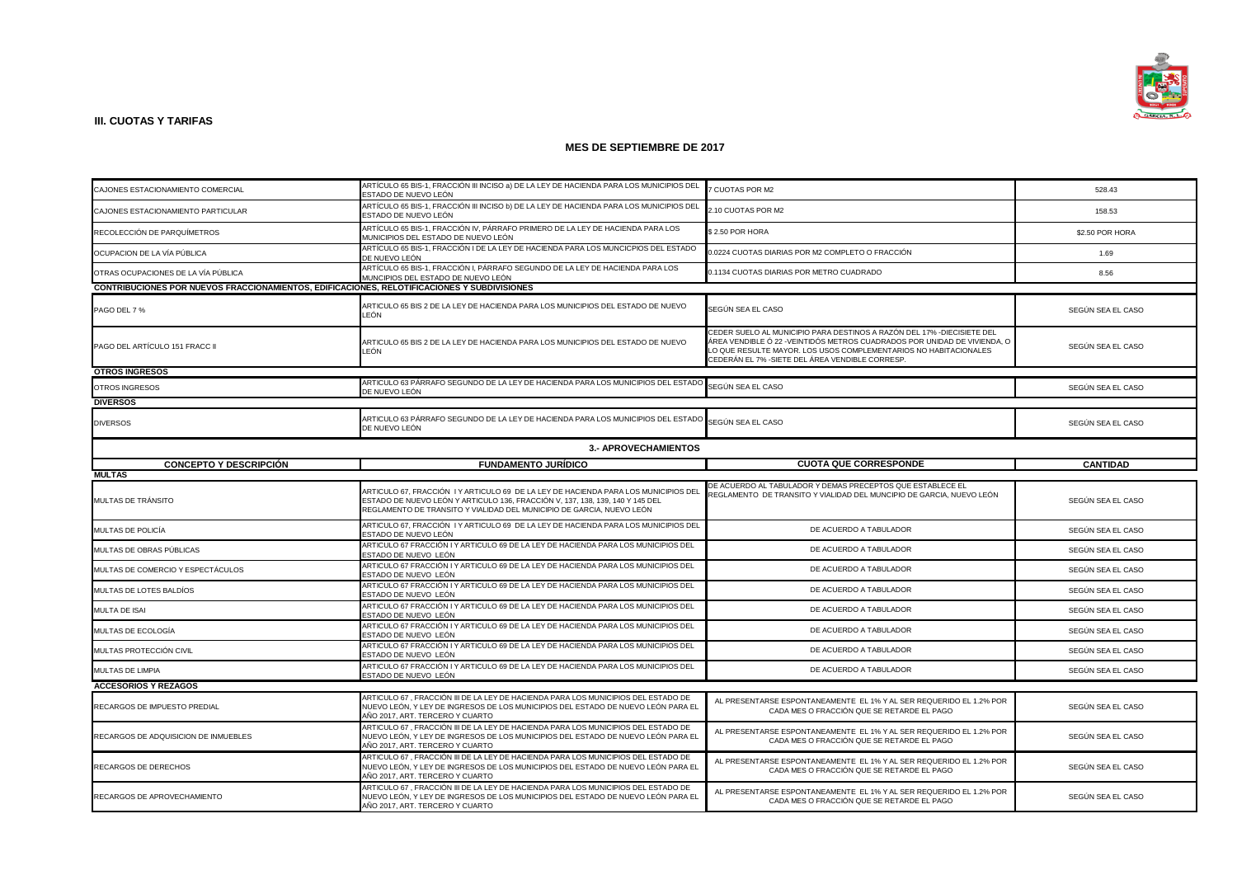

|                                                                                             | ARTÍCULO 65 BIS-1, FRACCIÓN III INCISO a) DE LA LEY DE HACIENDA PARA LOS MUNICIPIOS DEL                                                                                                                                                       |                                                                                                                                                                                                                                                                           |                   |  |
|---------------------------------------------------------------------------------------------|-----------------------------------------------------------------------------------------------------------------------------------------------------------------------------------------------------------------------------------------------|---------------------------------------------------------------------------------------------------------------------------------------------------------------------------------------------------------------------------------------------------------------------------|-------------------|--|
| CAJONES ESTACIONAMIENTO COMERCIAL                                                           | ESTADO DE NUEVO LEÓN                                                                                                                                                                                                                          | 7 CUOTAS POR M2                                                                                                                                                                                                                                                           | 528.43            |  |
| CAJONES ESTACIONAMIENTO PARTICULAR                                                          | ARTÍCULO 65 BIS-1, FRACCIÓN III INCISO b) DE LA LEY DE HACIENDA PARA LOS MUNICIPIOS DEL<br>ESTADO DE NUEVO LEÓN                                                                                                                               | 2.10 CUOTAS POR M2                                                                                                                                                                                                                                                        | 158.53            |  |
| RECOLECCIÓN DE PARQUÍMETROS                                                                 | ARTÍCULO 65 BIS-1, FRACCIÓN IV, PÁRRAFO PRIMERO DE LA LEY DE HACIENDA PARA LOS<br>MUNICIPIOS DEL ESTADO DE NUEVO LEÓN                                                                                                                         | \$2.50 POR HORA                                                                                                                                                                                                                                                           | \$2.50 POR HORA   |  |
| OCUPACION DE LA VÍA PÚBLICA                                                                 | ARTÍCULO 65 BIS-1, FRACCIÓN I DE LA LEY DE HACIENDA PARA LOS MUNCICPIOS DEL ESTADO<br>DE NUEVO LEÓN                                                                                                                                           | 0.0224 CUOTAS DIARIAS POR M2 COMPLETO O FRACCIÓN                                                                                                                                                                                                                          | 1.69              |  |
| OTRAS OCUPACIONES DE LA VÍA PÚBLICA                                                         | ARTÍCULO 65 BIS-1, FRACCIÓN I, PÁRRAFO SEGUNDO DE LA LEY DE HACIENDA PARA LOS<br>MUNCIPIOS DEL ESTADO DE NUEVO LEÓN                                                                                                                           | 0.1134 CUOTAS DIARIAS POR METRO CUADRADO                                                                                                                                                                                                                                  | 8.56              |  |
| CONTRIBUCIONES POR NUEVOS FRACCIONAMIENTOS, EDIFICACIONES, RELOTIFICACIONES Y SUBDIVISIONES |                                                                                                                                                                                                                                               |                                                                                                                                                                                                                                                                           |                   |  |
| PAGO DEL 7 %                                                                                | ARTICULO 65 BIS 2 DE LA LEY DE HACIENDA PARA LOS MUNICIPIOS DEL ESTADO DE NUEVO<br>LEÓN                                                                                                                                                       | SEGÚN SEA EL CASO                                                                                                                                                                                                                                                         | SEGÚN SEA EL CASO |  |
| PAGO DEL ARTÍCULO 151 FRACC II                                                              | ARTICULO 65 BIS 2 DE LA LEY DE HACIENDA PARA LOS MUNICIPIOS DEL ESTADO DE NUEVO<br>LEÓN                                                                                                                                                       | CEDER SUELO AL MUNICIPIO PARA DESTINOS A RAZÓN DEL 17% -DIECISIETE DEL<br>ÁREA VENDIBLE Ó 22 -VEINTIDÓS METROS CUADRADOS POR UNIDAD DE VIVIENDA, O<br>LO QUE RESULTE MAYOR. LOS USOS COMPLEMENTARIOS NO HABITACIONALES<br>CEDERÁN EL 7% -SIETE DEL ÁREA VENDIBLE CORRESP. | SEGÚN SEA EL CASO |  |
| <b>OTROS INGRESOS</b>                                                                       |                                                                                                                                                                                                                                               |                                                                                                                                                                                                                                                                           |                   |  |
| OTROS INGRESOS                                                                              | ARTICULO 63 PÁRRAFO SEGUNDO DE LA LEY DE HACIENDA PARA LOS MUNICIPIOS DEL ESTADO SEGÚN SEA EL CASO<br>DE NUEVO LEÓN                                                                                                                           |                                                                                                                                                                                                                                                                           | SEGÚN SEA EL CASO |  |
| <b>DIVERSOS</b>                                                                             |                                                                                                                                                                                                                                               |                                                                                                                                                                                                                                                                           |                   |  |
| <b>DIVERSOS</b>                                                                             | ARTICULO 63 PÁRRAFO SEGUNDO DE LA LEY DE HACIENDA PARA LOS MUNICIPIOS DEL ESTADO<br>DE NUEVO LEÓN                                                                                                                                             | SEGÚN SEA EL CASO                                                                                                                                                                                                                                                         | SEGÚN SEA EL CASO |  |
| 3.- APROVECHAMIENTOS                                                                        |                                                                                                                                                                                                                                               |                                                                                                                                                                                                                                                                           |                   |  |
| <b>CONCEPTO Y DESCRIPCIÓN</b>                                                               | <b>FUNDAMENTO JURÍDICO</b>                                                                                                                                                                                                                    | <b>CUOTA QUE CORRESPONDE</b>                                                                                                                                                                                                                                              | <b>CANTIDAD</b>   |  |
| <b>MULTAS</b>                                                                               |                                                                                                                                                                                                                                               |                                                                                                                                                                                                                                                                           |                   |  |
| MULTAS DE TRÁNSITO                                                                          | ARTICULO 67, FRACCIÓN I Y ARTICULO 69 DE LA LEY DE HACIENDA PARA LOS MUNICIPIOS DEL<br>ESTADO DE NUEVO LEÓN Y ARTICULO 136, FRACCIÓN V, 137, 138, 139, 140 Y 145 DEL<br>REGLAMENTO DE TRANSITO Y VIALIDAD DEL MUNICIPIO DE GARCIA, NUEVO LEÓN | DE ACUERDO AL TABULADOR Y DEMAS PRECEPTOS QUE ESTABLECE EL<br>REGLAMENTO DE TRANSITO Y VIALIDAD DEL MUNCIPIO DE GARCIA, NUEVO LEÓN                                                                                                                                        | SEGÚN SEA EL CASO |  |
| MULTAS DE POLICÍA                                                                           | ARTICULO 67, FRACCIÓN I Y ARTICULO 69 DE LA LEY DE HACIENDA PARA LOS MUNICIPIOS DEL<br>ESTADO DE NUEVO LEÓN                                                                                                                                   | DE ACUERDO A TABULADOR                                                                                                                                                                                                                                                    | SEGÚN SEA EL CASO |  |
| MULTAS DE OBRAS PÚBLICAS                                                                    | ARTICULO 67 FRACCIÓN I Y ARTICULO 69 DE LA LEY DE HACIENDA PARA LOS MUNICIPIOS DEL<br>ESTADO DE NUEVO LEÓN                                                                                                                                    | DE ACUERDO A TABULADOR                                                                                                                                                                                                                                                    | SEGÚN SEA EL CASO |  |
| MULTAS DE COMERCIO Y ESPECTÁCULOS                                                           | ARTICULO 67 FRACCIÓN I Y ARTICULO 69 DE LA LEY DE HACIENDA PARA LOS MUNICIPIOS DEL<br>ESTADO DE NUEVO LEÓN                                                                                                                                    | DE ACUERDO A TABULADOR                                                                                                                                                                                                                                                    | SEGÚN SEA EL CASO |  |
| MULTAS DE LOTES BALDÍOS                                                                     | ARTICULO 67 FRACCIÓN I Y ARTICULO 69 DE LA LEY DE HACIENDA PARA LOS MUNICIPIOS DEL<br>ESTADO DE NUEVO LEÓN                                                                                                                                    | DE ACUERDO A TABULADOR                                                                                                                                                                                                                                                    | SEGÚN SEA EL CASO |  |
| MULTA DE ISAI                                                                               | ARTICULO 67 FRACCIÓN I Y ARTICULO 69 DE LA LEY DE HACIENDA PARA LOS MUNICIPIOS DEL<br>ESTADO DE NUEVO LEÓN                                                                                                                                    | DE ACUERDO A TABULADOR                                                                                                                                                                                                                                                    | SEGÚN SEA EL CASO |  |
| MULTAS DE ECOLOGÍA                                                                          | ARTICULO 67 FRACCIÓN I Y ARTICULO 69 DE LA LEY DE HACIENDA PARA LOS MUNICIPIOS DEL<br>ESTADO DE NUEVO LEÓN                                                                                                                                    | DE ACUERDO A TABULADOR                                                                                                                                                                                                                                                    | SEGÚN SEA EL CASO |  |
| MULTAS PROTECCIÓN CIVIL                                                                     | ARTICULO 67 FRACCIÓN I Y ARTICULO 69 DE LA LEY DE HACIENDA PARA LOS MUNICIPIOS DEL<br>ESTADO DE NUEVO LEÓN                                                                                                                                    | DE ACUERDO A TABULADOR                                                                                                                                                                                                                                                    | SEGÚN SEA EL CASO |  |
| MULTAS DE LIMPIA                                                                            | ARTICULO 67 FRACCIÓN I Y ARTICULO 69 DE LA LEY DE HACIENDA PARA LOS MUNICIPIOS DEL<br>ESTADO DE NUEVO LEÓN                                                                                                                                    | DE ACUERDO A TABULADOR                                                                                                                                                                                                                                                    | SEGÚN SEA EL CASO |  |
| <b>ACCESORIOS Y REZAGOS</b>                                                                 |                                                                                                                                                                                                                                               |                                                                                                                                                                                                                                                                           |                   |  |
| RECARGOS DE IMPUESTO PREDIAL                                                                | ARTICULO 67, FRACCIÓN III DE LA LEY DE HACIENDA PARA LOS MUNICIPIOS DEL ESTADO DE<br>NUEVO LEÓN, Y LEY DE INGRESOS DE LOS MUNICIPIOS DEL ESTADO DE NUEVO LEÓN PARA EL<br>AÑO 2017, ART. TERCERO Y CUARTO                                      | AL PRESENTARSE ESPONTANEAMENTE EL 1% Y AL SER REQUERIDO EL 1.2% POR<br>CADA MES O FRACCIÓN QUE SE RETARDE EL PAGO                                                                                                                                                         | SEGÚN SEA EL CASO |  |
| RECARGOS DE ADQUISICION DE INMUEBLES                                                        | ARTICULO 67, FRACCIÓN III DE LA LEY DE HACIENDA PARA LOS MUNICIPIOS DEL ESTADO DE<br>NUEVO LEÓN, Y LEY DE INGRESOS DE LOS MUNICIPIOS DEL ESTADO DE NUEVO LEÓN PARA EL<br>AÑO 2017, ART, TERCERO Y CUARTO                                      | AL PRESENTARSE ESPONTANEAMENTE EL 1% Y AL SER REQUERIDO EL 1.2% POR<br>CADA MES O FRACCIÓN QUE SE RETARDE EL PAGO                                                                                                                                                         | SEGÚN SEA EL CASO |  |
| RECARGOS DE DERECHOS                                                                        | ARTICULO 67, FRACCIÓN III DE LA LEY DE HACIENDA PARA LOS MUNICIPIOS DEL ESTADO DE<br>NUEVO LEÓN, Y LEY DE INGRESOS DE LOS MUNICIPIOS DEL ESTADO DE NUEVO LEÓN PARA EL<br>AÑO 2017, ART. TERCERO Y CUARTO                                      | AL PRESENTARSE ESPONTANEAMENTE EL 1% Y AL SER REQUERIDO EL 1.2% POR<br>CADA MES O FRACCIÓN QUE SE RETARDE EL PAGO                                                                                                                                                         | SEGÚN SEA EL CASO |  |
| RECARGOS DE APROVECHAMIENTO                                                                 | ARTICULO 67, FRACCIÓN III DE LA LEY DE HACIENDA PARA LOS MUNICIPIOS DEL ESTADO DE<br>NUEVO LEÓN, Y LEY DE INGRESOS DE LOS MUNICIPIOS DEL ESTADO DE NUEVO LEÓN PARA EL<br>AÑO 2017, ART. TERCERO Y CUARTO                                      | AL PRESENTARSE ESPONTANEAMENTE EL 1% Y AL SER REQUERIDO EL 1.2% POR<br>CADA MES O FRACCIÓN QUE SE RETARDE EL PAGO                                                                                                                                                         | SEGÚN SEA EL CASO |  |